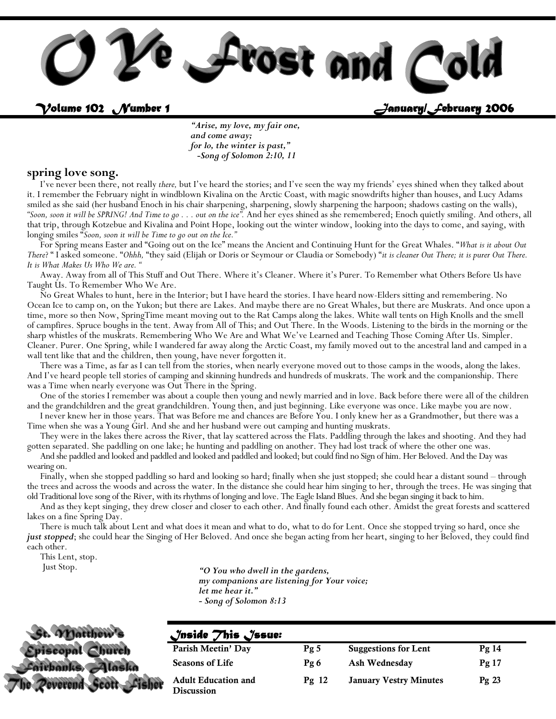

*Volume 102 Number 1 January/February 2006* 

*"Arise, my love, my fair one, and come away; for lo, the winter is past," -Song of Solomon 2:10, 11* 

#### **spring love song.**

 I've never been there, not really *there,* but I've heard the stories; and I've seen the way my friends' eyes shined when they talked about it. I remember the February night in windblown Kivalina on the Arctic Coast, with magic snowdrifts higher than houses, and Lucy Adams smiled as she said (her husband Enoch in his chair sharpening, sharpening, slowly sharpening the harpoon; shadows casting on the walls), "Soon, soon it will be SPRING! And Time to go . . . out on the ice". And her eyes shined as she remembered; Enoch quietly smiling. And others, all that trip, through Kotzebue and Kivalina and Point Hope, looking out the winter window, looking into the days to come, and saying, with longing smiles "*Soon, soon it will be Time to go out on the Ice."* 

For Spring means Easter and "Going out on the Ice" means the Ancient and Continuing Hunt for the Great Whales. "*What is it about Out There*? " I asked someone. "*Ohhh,* "they said (Elijah or Doris or Seymour or Claudia or Somebody) "*it is cleaner Out There; it is purer Out There. It is What Makes Us Who We are. "* 

 Away. Away from all of This Stuff and Out There. Where it's Cleaner. Where it's Purer. To Remember what Others Before Us have Taught Us. To Remember Who We Are.

 No Great Whales to hunt, here in the Interior; but I have heard the stories. I have heard now-Elders sitting and remembering. No Ocean Ice to camp on, on the Yukon; but there are Lakes. And maybe there are no Great Whales, but there are Muskrats. And once upon a time, more so then Now, SpringTime meant moving out to the Rat Camps along the lakes. White wall tents on High Knolls and the smell of campfires. Spruce boughs in the tent. Away from All of This; and Out There. In the Woods. Listening to the birds in the morning or the sharp whistles of the muskrats. Remembering Who We Are and What We've Learned and Teaching Those Coming After Us. Simpler. Cleaner. Purer. One Spring, while I wandered far away along the Arctic Coast, my family moved out to the ancestral land and camped in a wall tent like that and the children, then young, have never forgotten it.

 There was a Time, as far as I can tell from the stories, when nearly everyone moved out to those camps in the woods, along the lakes. And I've heard people tell stories of camping and skinning hundreds and hundreds of muskrats. The work and the companionship. There was a Time when nearly everyone was Out There in the Spring.

 One of the stories I remember was about a couple then young and newly married and in love. Back before there were all of the children and the grandchildren and the great grandchildren. Young then, and just beginning. Like everyone was once. Like maybe you are now.

 I never knew her in those years. That was Before me and chances are Before You. I only knew her as a Grandmother, but there was a Time when she was a Young Girl. And she and her husband were out camping and hunting muskrats.

 They were in the lakes there across the River, that lay scattered across the Flats. Paddling through the lakes and shooting. And they had gotten separated. She paddling on one lake; he hunting and paddling on another. They had lost track of where the other one was.

 And she paddled and looked and paddled and looked and paddled and looked; but could find no Sign of him. Her Beloved. And the Day was wearing on.

 Finally, when she stopped paddling so hard and looking so hard; finally when she just stopped; she could hear a distant sound – through the trees and across the woods and across the water. In the distance she could hear him singing to her, through the trees. He was singing that old Traditional love song of the River, with its rhythms of longing and love. The Eagle Island Blues. And she began singing it back to him.

 And as they kept singing, they drew closer and closer to each other. And finally found each other. Amidst the great forests and scattered lakes on a fine Spring Day.

 There is much talk about Lent and what does it mean and what to do, what to do for Lent. Once she stopped trying so hard, once she *just stopped*; she could hear the Singing of Her Beloved. And once she began acting from her heart, singing to her Beloved, they could find each other.

This Lent, stop.

Just Stop.

*"O You who dwell in the gardens,* 

*my companions are listening for Your voice;* 

*let me hear it."* 

*- Song of Solomon 8:13* 

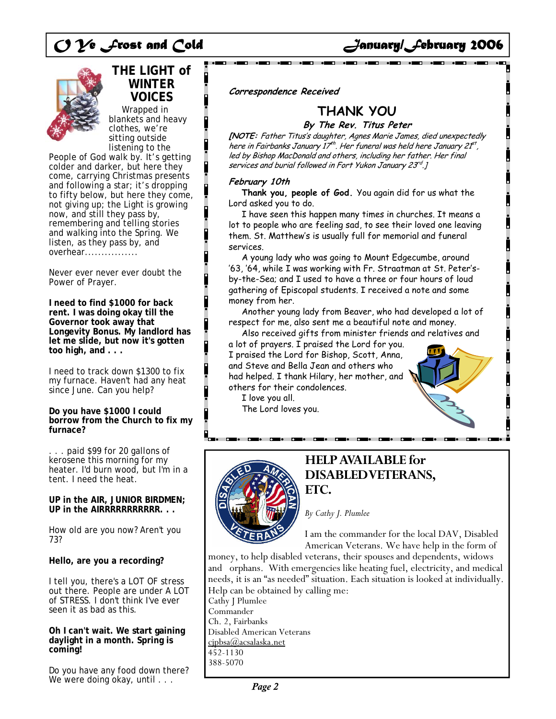

## **THE LIGHT of WINTER VOICES**

 Wrapped in blankets and heavy clothes, we're sitting outside listening to the

People of God walk by. It's getting colder and darker, but here they come, carrying Christmas presents and following a star; it's dropping to fifty below, but here they come, not giving up; the Light is growing now, and still they pass by, remembering and telling stories and walking into the Spring. We listen, as they pass by, and overhear................

Never ever never ever doubt the Power of Prayer.

**I need to find \$1000 for back rent. I was doing okay till the Governor took away that Longevity Bonus. My landlord has let me slide, but now it's gotten too high, and . . .** 

I need to track down \$1300 to fix my furnace. Haven't had any heat since June. Can you help?

#### **Do you have \$1000 I could borrow from the Church to fix my furnace?**

. . . paid \$99 for 20 gallons of kerosene this morning for my heater. I'd burn wood, but I'm in a tent. I need the heat.

#### **UP in the AIR, JUNIOR BIRDMEN; UP in the AIRRRRRRRRRRR. . .**

How old are you now? Aren't you 73?

#### **Hello, are you a recording?**

I tell you, there's a LOT OF stress out there. People are under A LOT of STRESS. I don't think I've ever seen it as bad as this.

#### **Oh I can't wait. We start gaining daylight in a month. Spring is coming!**

Do you have any food down there? We were doing okay, until . . .

**Correspondence Received** 

 $\overline{\phantom{a}}$ 

 $\blacksquare$ 

## **THANK YOU**

**By The Rev. Titus Peter** 

**[NOTE:** Father Titus's daughter, Agnes Marie James, died unexpectedly here in Fairbanks January  $17^{th}$ . Her funeral was held here January  $21^{st}$ , led by Bishop MacDonald and others, including her father. Her final services and burial followed in Fort Yukon January 23rd.]

#### **February 10th**

 **Thank you, people of God.** You again did for us what the Lord asked you to do.

 I have seen this happen many times in churches. It means a lot to people who are feeling sad, to see their loved one leaving them. St. Matthew's is usually full for memorial and funeral services.

 A young lady who was going to Mount Edgecumbe, around '63, '64, while I was working with Fr. Straatman at St. Peter'sby-the-Sea; and I used to have a three or four hours of loud gathering of Episcopal students. I received a note and some money from her.

 Another young lady from Beaver, who had developed a lot of respect for me, also sent me a beautiful note and money.

 Also received gifts from minister friends and relatives and a lot of prayers. I praised the Lord for you.

I praised the Lord for Bishop, Scott, Anna, and Steve and Bella Jean and others who had helped. I thank Hilary, her mother, and others for their condolences.

I love you all.

The Lord loves you.



### **HELP AVAILABLE for DISABLED VETERANS, ETC.**

*By Cathy J. Plumlee* 

I am the commander for the local DAV, Disabled American Veterans. We have help in the form of

money, to help disabled veterans, their spouses and dependents, widows and orphans. With emergencies like heating fuel, electricity, and medical needs, it is an "as needed" situation. Each situation is looked at individually. Help can be obtained by calling me:

Cathy J Plumlee Commander Ch. 2, Fairbanks Disabled American Veterans  $cipbsa@acsalaska.net$ 452-1130 388-5070

## *O Ye F*rost and Cold *January/February 2006*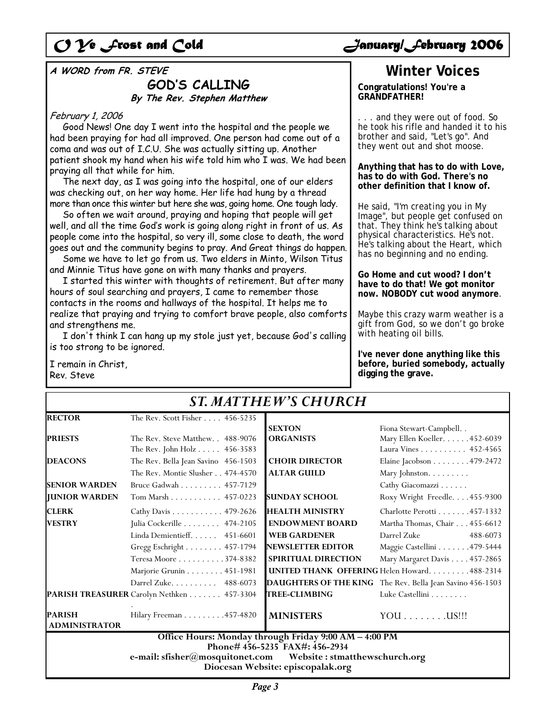## *O Ye Frost and Cold January/February 2006*

### **A WORD from FR. STEVE Winter Voices**

**GOD'S CALLING By The Rev. Stephen Matthew** 

### February 1, 2006

 Good News! One day I went into the hospital and the people we had been praying for had all improved. One person had come out of a coma and was out of I.C.U. She was actually sitting up. Another patient shook my hand when his wife told him who I was. We had been praying all that while for him.

 The next day, as I was going into the hospital, one of our elders was checking out, on her way home. Her life had hung by a thread more than once this winter but here she was, going home. One tough lady.

 So often we wait around, praying and hoping that people will get well, and all the time God's work is going along right in front of us. As people come into the hospital, so very ill, some close to death, the word goes out and the community begins to pray. And Great things do happen.

 Some we have to let go from us. Two elders in Minto, Wilson Titus and Minnie Titus have gone on with many thanks and prayers.

 I started this winter with thoughts of retirement. But after many hours of soul searching and prayers, I came to remember those contacts in the rooms and hallways of the hospital. It helps me to realize that praying and trying to comfort brave people, also comforts and strengthens me.

 I don't think I can hang up my stole just yet, because God's calling is too strong to be ignored.

I remain in Christ, Rev. Steve

**Congratulations! You're a GRANDFATHER!** 

. . . and they were out of food. So he took his rifle and handed it to his brother and said, "*Let's go*". And they went out and shot moose.

**Anything that has to do with Love, has to do with God. There's no other definition that I know of.** 

He said, "*I'm creating you in My Image*", but people get confused on that. They think he's talking about physical characteristics. He's not. He's talking about the Heart, which has no beginning and no ending.

**Go Home and cut wood? I don't have to do that! We got monitor now. NOBODY cut wood anymore**.

Maybe this crazy warm weather is a gift from God, so we don't go broke with heating oil bills.

**I've never done anything like this before, buried somebody, actually digging the grave.** 

| <b>ST. MATTHEW'S CHURCH</b>                                      |                                           |                            |                                                           |
|------------------------------------------------------------------|-------------------------------------------|----------------------------|-----------------------------------------------------------|
| <b>RECTOR</b>                                                    | The Rev. Scott Fisher 456-5235            |                            |                                                           |
|                                                                  |                                           | <b>SEXTON</b>              | Fiona Stewart-Campbell. .                                 |
| <b>PRIESTS</b>                                                   | The Rev. Steve Matthew. . 488-9076        | <b>ORGANISTS</b>           | Mary Ellen Koeller. 452-6039                              |
|                                                                  | The Rev. John Holz 456-3583               |                            | Laura Vines 452-4565                                      |
| <b>DEACONS</b>                                                   | The Rev. Bella Jean Savino 456-1503       | <b>CHOIR DIRECTOR</b>      | Elaine Jacobson 479-2472                                  |
|                                                                  | The Rev. Montie Slusher 474-4570          | <b>ALTAR GUILD</b>         | Mary Johnston.                                            |
| <b>SENIOR WARDEN</b>                                             | Bruce Gadwah 457-7129                     |                            | Cathy Giacomazzi                                          |
| <b>JUNIOR WARDEN</b>                                             | Tom Marsh 457-0223                        | <b>SUNDAY SCHOOL</b>       | Roxy Wright Freedle. 455-9300                             |
| <b>CLERK</b>                                                     | Cathy Davis 479-2626                      | <b>HEALTH MINISTRY</b>     | Charlotte Perotti 457-1332                                |
| <b>VESTRY</b>                                                    | Julia Cockerille 474-2105                 | <b>ENDOWMENT BOARD</b>     | Martha Thomas, Chair 455-6612                             |
|                                                                  | Linda Demientieff. 451-6601               | <b>WEB GARDENER</b>        | Darrel Zuke<br>488-6073                                   |
|                                                                  | Gregg Eschright 457-1794                  | <b>NEWSLETTER EDITOR</b>   | Maggie Castellini 479-5444                                |
|                                                                  | Teresa Moore 374-8382                     | <b>SPIRITUAL DIRECTION</b> | Mary Margaret Davis 457-2865                              |
|                                                                  | Marjorie Grunin 451-1981                  |                            | <b>UNITED THANK OFFERING Helen Howard.</b> 488-2314       |
|                                                                  | Darrel Zuke. 488-6073                     |                            | DAUGHTERS OF THE KING The Rev. Bella Jean Savino 456-1503 |
|                                                                  | PARISH TREASURER Carolyn Nethken 457-3304 | <b>TREE-CLIMBING</b>       | Luke Castellini                                           |
| <b>PARISH</b><br><b>ADMINISTRATOR</b>                            | Hilary Freeman 457-4820                   | <b>MINISTERS</b>           | $\text{YOU} \ldots \ldots \ldots \text{US}$               |
| Office Hours: Monday through Friday 9:00 AM - 4:00 PM            |                                           |                            |                                                           |
| Phone#456-5235 FAX#: 456-2934                                    |                                           |                            |                                                           |
| e-mail: sfisher@mosquitonet.com<br>Website: stmatthewschurch.org |                                           |                            |                                                           |
| Diocesan Website: episcopalak.org                                |                                           |                            |                                                           |

*Page 3*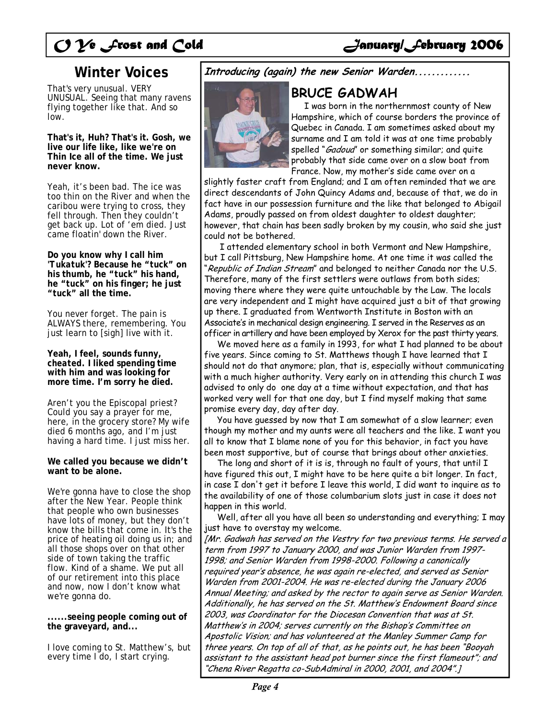## *C*  $\gamma$ e frost and Cold **January/February 2006**

That's very unusual. VERY UNUSUAL. Seeing that many ravens flying together like that. And so low.

**That's it, Huh? That's it. Gosh, we live our life like, like we're on Thin Ice all of the time. We just never know.** 

Yeah, it's been bad. The ice was too thin on the River and when the caribou were trying to cross, they fell through. Then they couldn't get back up. Lot of 'em died. Just came floatin' down the River.

**Do you know why I call him '***Tukatuk***'? Because he "***tuck***" on his thumb, he "***tuck***" his hand, he "***tuck"* **on his finger; he just "***tuck***" all the time.** 

You never forget. The pain is ALWAYS there, remembering. You just learn to [*sigh*] live with it.

**Yeah, I feel, sounds funny,**  *cheated***. I liked spending time with him and was looking for more time. I'm sorry he died.** 

Aren't you the Episcopal priest? Could you say a prayer for me, here, in the grocery store? My wife died 6 months ago, and I'm just having a hard time. I just miss her.

**We called you because we didn't want to be alone.** 

We're gonna have to close the shop after the New Year. People think that people who own businesses have lots of money, but they don't know the bills that come in. It's the price of heating oil doing us in; and all those shops over on that other side of town taking the traffic flow. Kind of a shame. We put all of our retirement into this place and now, now I don't know what we're gonna do.

**......seeing people coming out of the graveyard, and...** 

I love coming to St. Matthew's, but every time I do, I start crying.

Winter Voices | Introducing (again) the new Senior Warden.............

## **BRUCE GADWAH**



 I was born in the northernmost county of New Hampshire, which of course borders the province of Quebec in Canada. I am sometimes asked about my surname and I am told it was at one time probably spelled "Gadoud" or something similar; and quite probably that side came over on a slow boat from France. Now, my mother's side came over on a

slightly faster craft from England; and I am often reminded that we are direct descendants of John Quincy Adams and, because of that, we do in fact have in our possession furniture and the like that belonged to Abigail Adams, proudly passed on from oldest daughter to oldest daughter; however, that chain has been sadly broken by my cousin, who said she just could not be bothered.

 I attended elementary school in both Vermont and New Hampshire, but I call Pittsburg, New Hampshire home. At one time it was called the "Republic of Indian Stream" and belonged to neither Canada nor the U.S. Therefore, many of the first settlers were outlaws from both sides; moving there where they were quite untouchable by the Law. The locals are very independent and I might have acquired just a bit of that growing up there. I graduated from Wentworth Institute in Boston with an Associate's in mechanical design engineering. I served in the Reserves as an officer in artillery and have been employed by Xerox for the past thirty years.

 We moved here as a family in 1993, for what I had planned to be about five years. Since coming to St. Matthews though I have learned that I should not do that anymore; plan, that is, especially without communicating with a much higher authority. Very early on in attending this church I was advised to only do one day at a time without expectation, and that has worked very well for that one day, but I find myself making that same promise every day, day after day.

 You have guessed by now that I am somewhat of a slow learner; even though my mother and my aunts were all teachers and the like. I want you all to know that I blame none of you for this behavior, in fact you have been most supportive, but of course that brings about other anxieties.

The long and short of it is is, through no fault of yours, that until I have figured this out, I might have to be here quite a bit longer. In fact, in case I don't get it before I leave this world, I did want to inquire as to the availability of one of those columbarium slots just in case it does not happen in this world.

 Well, after all you have all been so understanding and everything; I may just have to overstay my welcome.

[Mr. Gadwah has served on the Vestry for two previous terms. He served a term from 1997 to January 2000, and was Junior Warden from 1997- 1998; and Senior Warden from 1998-2000. Following a canonically required year's absence, he was again re-elected, and served as Senior Warden from 2001-2004. He was re-elected during the January 2006 Annual Meeting; and asked by the rector to again serve as Senior Warden. Additionally, he has served on the St. Matthew's Endowment Board since 2003, was Coordinator for the Diocesan Convention that was at St. Matthew's in 2004; serves currently on the Bishop's Committee on Apostolic Vision; and has volunteered at the Manley Summer Camp for three years. On top of all of that, as he points out, he has been "Booyah assistant to the assistant head pot burner since the first flameout"; and "Chena River Regatta co-SubAdmiral in 2000, 2001, and 2004".]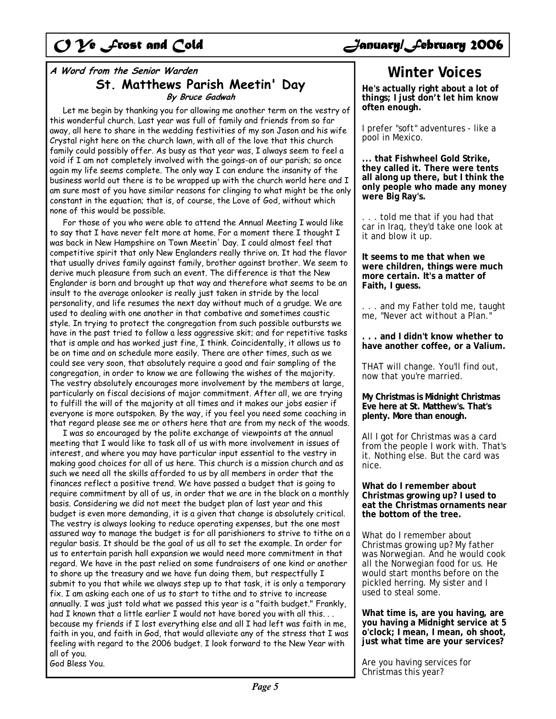# *O Ye frost and Cold*  $\bigcup$  *January/february 2006*

### **Winter Voices A Word from the Senior Warden St. Matthews Parish Meetin' Day By Bruce Gadwah**

 Let me begin by thanking you for allowing me another term on the vestry of this wonderful church. Last year was full of family and friends from so far away, all here to share in the wedding festivities of my son Jason and his wife Crystal right here on the church lawn, with all of the love that this church family could possibly offer. As busy as that year was, I always seem to feel a void if I am not completely involved with the goings-on of our parish; so once again my life seems complete. The only way I can endure the insanity of the business world out there is to be wrapped up with the church world here and I am sure most of you have similar reasons for clinging to what might be the only constant in the equation; that is, of course, the Love of God, without which none of this would be possible.

 For those of you who were able to attend the Annual Meeting I would like to say that I have never felt more at home. For a moment there I thought I was back in New Hampshire on Town Meetin' Day. I could almost feel that competitive spirit that only New Englanders really thrive on. It had the flavor that usually drives family against family, brother against brother. We seem to derive much pleasure from such an event. The difference is that the New Englander is born and brought up that way and therefore what seems to be an insult to the average onlooker is really just taken in stride by the local personality, and life resumes the next day without much of a grudge. We are used to dealing with one another in that combative and sometimes caustic style. In trying to protect the congregation from such possible outbursts we have in the past tried to follow a less aggressive skit; and for repetitive tasks that is ample and has worked just fine, I think. Coincidentally, it allows us to be on time and on schedule more easily. There are other times, such as we could see very soon, that absolutely require a good and fair sampling of the congregation, in order to know we are following the wishes of the majority. The vestry absolutely encourages more involvement by the members at large, particularly on fiscal decisions of major commitment. After all, we are trying to fulfill the will of the majority at all times and it makes our jobs easier if everyone is more outspoken. By the way, if you feel you need some coaching in that regard please see me or others here that are from my neck of the woods.

 I was so encouraged by the polite exchange of viewpoints at the annual meeting that I would like to task all of us with more involvement in issues of interest, and where you may have particular input essential to the vestry in making good choices for all of us here. This church is a mission church and as such we need all the skills afforded to us by all members in order that the finances reflect a positive trend. We have passed a budget that is going to require commitment by all of us, in order that we are in the black on a monthly basis. Considering we did not meet the budget plan of last year and this budget is even more demanding, it is a given that change is absolutely critical. The vestry is always looking to reduce operating expenses, but the one most assured way to manage the budget is for all parishioners to strive to tithe on a regular basis. It should be the goal of us all to set the example. In order for us to entertain parish hall expansion we would need more commitment in that regard. We have in the past relied on some fundraisers of one kind or another to shore up the treasury and we have fun doing them, but respectfully I submit to you that while we always step up to that task, it is only a temporary fix. I am asking each one of us to start to tithe and to strive to increase annually. I was just told what we passed this year is a "faith budget." Frankly, had I known that a little earlier I would not have bored you with all this... because my friends if I lost everything else and all I had left was faith in me, faith in you, and faith in God, that would alleviate any of the stress that I was feeling with regard to the 2006 budget. I look forward to the New Year with all of you. God Bless You.

**He's actually right about a lot of things; I just don't let him know often enough.** 

I prefer *"soft*" adventures - like a pool in Mexico.

**... that Fishwheel Gold Strike, they called it. There were tents all along up there, but I think the only people who made any money were Big Ray's.** 

. . . told me that if you had that car in Iraq, they'd take one look at it and blow it up.

**It seems to me that when we were children, things were much more certain. It's a matter of Faith, I guess.** 

. . . and my Father told me, taught me, "*Never act without a Plan*."

**. . . and I didn't know whether to have another coffee, or a Valium.** 

THAT will change. You'll find out, now that you're married.

**My Christmas is Midnight Christmas Eve here at St. Matthew's. That's plenty. More than enough.** 

All I got for Christmas was a card from the people I work with. That's it. Nothing else. But the card was nice.

**What do I remember about Christmas growing up? I used to eat the Christmas ornaments near the bottom of the tree.** 

What do I remember about Christmas growing up? My father was Norwegian. And he would cook all the Norwegian food for us. He would start months before on the pickled herring. My sister and I used to steal some.

**What time is, are you having, are you having a Midnight service at 5 o'clock; I mean, I mean, oh shoot, just what time are your services?** 

Are you having services for Christmas this year?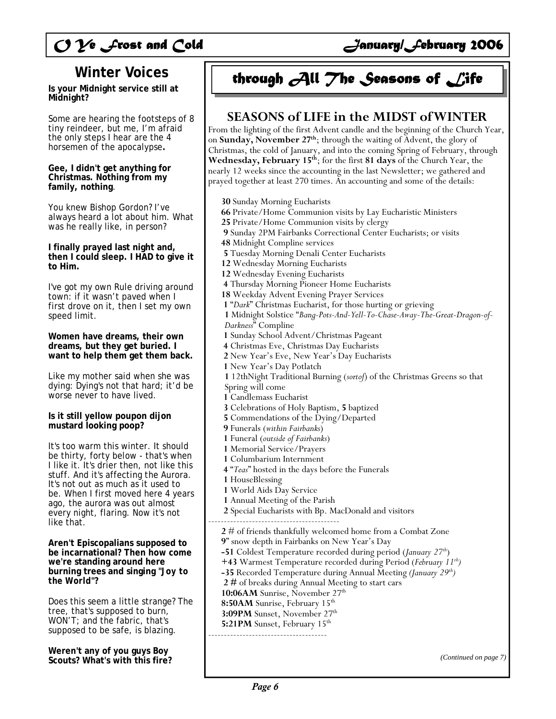## **Winter Voices**

**Is your Midnight service still at Midnight?** 

Some are hearing the footsteps of 8 tiny reindeer, but me, I'm afraid the only steps I hear are the 4 horsemen of the apocalypse**.** 

**Gee, I didn't get anything for Christmas. Nothing from my family, nothing**.

You knew Bishop Gordon? I've always heard a lot about him. What was he really like, in person?

**I finally prayed last night and, then I could sleep. I HAD to give it to Him.** 

I've got my own Rule driving around town: if it wasn't paved when I first drove on it, then I set my own speed limit.

**Women have dreams, their own dreams, but they get buried. I want to help them get them back.** 

Like my mother said when she was dying: Dying's not that hard; it'd be worse never to have lived.

#### **Is it still yellow poupon dijon mustard looking poop?**

It's too warm this winter. It should be thirty, forty below - that's when I like it. It's drier then, not like this stuff. And it's affecting the Aurora. It's not out as much as it used to be. When I first moved here 4 years ago, the aurora was out almost every night, flaring. Now it's not like that.

**Aren't Episcopalians supposed to be incarnational? Then how come we're standing around here burning trees and singing "***Joy to the World***"?** 

Does this seem a little strange? The tree, that's supposed to burn, WON'T; and the fabric, that's supposed to be safe, is blazing.

**Weren't any of you guys Boy Scouts? What's with this fire?** 

# *through All The Seasons of Life*

## **SEASONS of LIFE in the MIDST of WINTER**

From the lighting of the first Advent candle and the beginning of the Church Year, on **Sunday, November 27th**; through the waiting of Advent, the glory of Christmas, the cold of January, and into the coming Spring of February, through **Wednesday, February 15th**; for the first **81 days** of the Church Year, the nearly 12 weeks since the accounting in the last Newsletter; we gathered and prayed together at least 270 times. An accounting and some of the details:

**30** Sunday Morning Eucharists **66** Private/Home Communion visits by Lay Eucharistic Ministers **25** Private/Home Communion visits by clergy  **9** Sunday 2PM Fairbanks Correctional Center Eucharists; or visits **48** Midnight Compline services **5** Tuesday Morning Denali Center Eucharists **12** Wednesday Morning Eucharists **12** Wednesday Evening Eucharists **4** Thursday Morning Pioneer Home Eucharists **18** Weekday Advent Evening Prayer Services  **1** "*Dark*" Christmas Eucharist, for those hurting or grieving **1** Midnight Solstice "*Bang-Pots-And-Yell-To-Chase-Away-The-Great-Dragon-of-Darkness*" Compline **1** Sunday School Advent/Christmas Pageant  **4** Christmas Eve, Christmas Day Eucharists  **2** New Year's Eve, New Year's Day Eucharists **1** New Year's Day Potlatch **1** 12thNight Traditional Burning (*sortof*) of the Christmas Greens so that Spring will come **1** Candlemass Eucharist **3** Celebrations of Holy Baptism, **5** baptized **5** Commendations of the Dying/Departed **9** Funerals (*within Fairbanks*) **1** Funeral (*outside of Fairbanks*) **1** Memorial Service/Prayers **1** Columbarium Internment **4** "*Teas*" hosted in the days before the Funerals **1** HouseBlessing **1** World Aids Day Service **1** Annual Meeting of the Parish **2** Special Eucharists with Bp. MacDonald and visitors ------------------------------------------ **2** # of friends thankfully welcomed home from a Combat Zone **9**" snow depth in Fairbanks on New Year's Day **-51** Coldest Temperature recorded during period (*January 27th*) **+43** Warmest Temperature recorded during Period (*February 11th)* **-35** Recorded Temperature during Annual Meeting *(January 29th)*   **2 #** of breaks during Annual Meeting to start cars **10:06AM** Sunrise, November 27th 8:50AM Sunrise, February 15<sup>th</sup> 3:09PM Sunset, November 27<sup>th</sup> **5:21PM** Sunset, February 15<sup>th</sup> --------------------------------------

*(Continued on page 7)*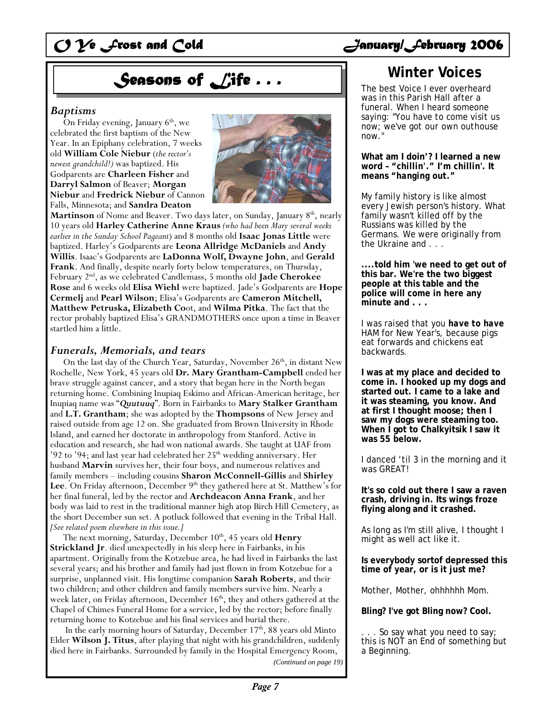*O Ye S*rost and Cold *January/Sebruary 2006* 

# **Seasons of Life ...**  $\begin{array}{|c|c|c|c|c|}\n\hline\n\text{F}}\n\end{array}$  The best Voice I ever overheard

#### *Baptisms*

On Friday evening, January  $6<sup>th</sup>$ , we celebrated the first baptism of the New Year. In an Epiphany celebration, 7 weeks old **William Cole Niebur** (*the rector's newest grandchild!)* was baptized. His Godparents are **Charleen Fisher** and **Darryl Salmon** of Beaver; **Morgan Niebur** and **Fredrick Niebur** of Cannon Falls, Minnesota; and **Sandra Deaton** 



**Martinson** of Nome and Beaver. Two days later, on Sunday, January 8<sup>th</sup>, nearly 10 years old **Harley Catherine Anne Kraus** *(who had been Mary several weeks earlier in the Sunday School Pageant*) and 8 months old **Isaac Jonas Little** were baptized. Harley's Godparents are **Leona Allridge McDaniels** and **Andy Willis**. Isaac's Godparents are **LaDonna Wolf, Dwayne John**, and **Gerald Frank**. And finally, despite nearly forty below temperatures, on Thursday, February 2nd, as we celebrated Candlemass, 5 months old **Jade Cherokee Rose** and 6 weeks old **Elisa Wiehl** were baptized. Jade's Godparents are **Hope Cermelj** and **Pearl Wilson**; Elisa's Godparents are **Cameron Mitchell, Matthew Petruska, Elizabeth Co**ot, and **Wilma Pitka**. The fact that the rector probably baptized Elisa's GRANDMOTHERS once upon a time in Beaver startled him a little.

#### *Funerals, Memorials, and tears*

On the last day of the Church Year, Saturday, November 26<sup>th</sup>, in distant New Rochelle, New York, 45 years old **Dr. Mary Grantham-Campbell** ended her brave struggle against cancer, and a story that began here in the North began returning home. Combining Inupiaq Eskimo and African-American heritage, her Inupiaq name was "*Quutuuq*". Born in Fairbanks to **Mary Stalker Grantham** and **L.T. Grantham**; she was adopted by the **Thompsons** of New Jersey and raised outside from age 12 on. She graduated from Brown University in Rhode Island, and earned her doctorate in anthropology from Stanford. Active in education and research, she had won national awards. She taught at UAF from '92 to '94; and last year had celebrated her 25<sup>th</sup> wedding anniversary. Her husband **Marvin** survives her, their four boys, and numerous relatives and family members – including cousins **Sharon McConnell-Gillis** and **Shirley**  Lee. On Friday afternoon, December 9<sup>th</sup> they gathered here at St. Matthew's for her final funeral, led by the rector and **Archdeacon Anna Frank**, and her body was laid to rest in the traditional manner high atop Birch Hill Cemetery, as the short December sun set. A potluck followed that evening in the Tribal Hall. *[See related poem elsewhere in this issue.]* 

The next morning, Saturday, December 10<sup>th</sup>, 45 years old **Henry Strickland Jr**. died unexpectedly in his sleep here in Fairbanks, in his apartment. Originally from the Kotzebue area, he had lived in Fairbanks the last several years; and his brother and family had just flown in from Kotzebue for a surprise, unplanned visit. His longtime companion **Sarah Roberts**, and their two children; and other children and family members survive him. Nearly a week later, on Friday afternoon, December 16<sup>th</sup>, they and others gathered at the Chapel of Chimes Funeral Home for a service, led by the rector; before finally returning home to Kotzebue and his final services and burial there.

In the early morning hours of Saturday, December 17<sup>th</sup>, 88 years old Minto Elder **Wilson J. Titus**, after playing that night with his grandchildren, suddenly died here in Fairbanks. Surrounded by family in the Hospital Emergency Room, *(Continued on page 19)* 

## **Winter Voices**

was in this Parish Hall after a funeral. When I heard someone saying: "*You have to come visit us now; we've got our own outhouse now."* 

**What am I doin'? I learned a new word – "***chillin'***." I'm** *chillin***'. It means "***hanging out."*

My family history is like almost every Jewish person's history. What family wasn't killed off by the Russians was killed by the Germans. We were originally from the Ukraine and . . .

**....told him 'we need to get out of this bar. We're the two biggest people at this table and the police will come in here any minute and . . .** 

I was raised that you *have to have*  HAM for New Year's, because pigs eat forwards and chickens eat backwards.

**I was at my place and decided to come in. I hooked up my dogs and started out. I came to a lake and it was steaming, you know. And at first I thought moose; then I saw my dogs were steaming too. When I got to Chalkyitsik I saw it was 55 below.** 

I danced 'til 3 in the morning and it was GREAT!

**It's so cold out there I saw a raven crash, driving in. Its wings froze flying along and it crashed.** 

As long as I'm still alive, I thought I might as well act like it.

**Is everybody sortof depressed this time of year, or is it just me?** 

Mother, Mother, ohhhhhh Mom.

**Bling? I've got Bling now? Cool.** 

. . . So say what you need to say; this is NOT an End of something but a Beginning.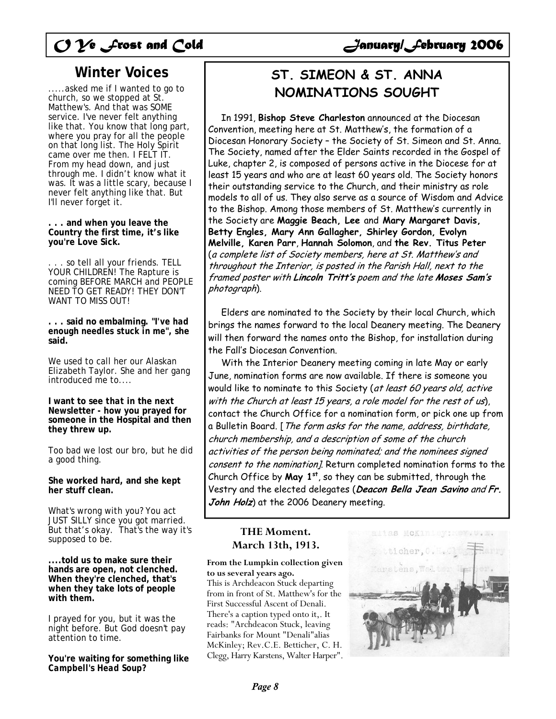## *O Ye Frost and Cold January/February 2006*

## **Winter Voices**

.....asked me if I wanted to go to church, so we stopped at St. Matthew's. And that was SOME service. I've never felt anything like that. You know that long part, where you pray for all the people on that long list. The Holy Spirit came over me then. I FELT IT. From my head down, and just through me. I didn't know what it was. It was a little scary, because I never felt anything like that. But I'll never forget it.

**. . . and when you leave the Country the first time, it's like you're Love Sick.** 

. . . so tell all your friends. TELL YOUR CHILDREN! The Rapture is coming BEFORE MARCH and PEOPLE NEED TO GET READY! THEY DON'T WANT TO MISS OUT!

**. . . said no embalming. "***I've had enough needles stuck in me***", she said.** 

We used to call her our Alaskan Elizabeth Taylor. She and her gang introduced me to....

**I want to see** *that* **in the next Newsletter - how you prayed for someone in the Hospital and then they threw up.** 

Too bad we lost our bro, but he did a good thing.

**She worked hard, and she kept her stuff clean.** 

What's wrong with you? You act JUST SILLY since you got married. But that's okay. That's the way it's supposed to be.

**....told us to make sure their hands are open, not clenched. When they're clenched, that's when they take lots of people with them.** 

I prayed for you, but it was the night before. But God doesn't pay attention to time.

**You're waiting for something like**  *Campbell***'s** *Head Soup***?** 

## **ST. SIMEON & ST. ANNA NOMINATIONS SOUGHT**

 In 1991, **Bishop Steve Charleston** announced at the Diocesan Convention, meeting here at St. Matthew's, the formation of a Diocesan Honorary Society – the Society of St. Simeon and St. Anna. The Society, named after the Elder Saints recorded in the Gospel of Luke, chapter 2, is composed of persons active in the Diocese for at least 15 years and who are at least 60 years old. The Society honors their outstanding service to the Church, and their ministry as role models to all of us. They also serve as a source of Wisdom and Advice to the Bishop. Among those members of St. Matthew's currently in the Society are **Maggie Beach, Lee** and **Mary Margaret Davis, Betty Engles, Mary Ann Gallagher, Shirley Gordon, Evolyn Melville, Karen Parr**, **Hannah Solomon**, and **the Rev. Titus Peter** (a complete list of Society members, here at St. Matthew's and throughout the Interior, is posted in the Parish Hall, next to the framed poster with **Lincoln Tritt's** poem and the late **Moses Sam's** photograph).

 Elders are nominated to the Society by their local Church, which brings the names forward to the local Deanery meeting. The Deanery will then forward the names onto the Bishop, for installation during the Fall's Diocesan Convention.

 With the Interior Deanery meeting coming in late May or early June, nomination forms are now available. If there is someone you would like to nominate to this Society (at least 60 years old, active with the Church at least 15 years, a role model for the rest of us), contact the Church Office for a nomination form, or pick one up from a Bulletin Board. [The form asks for the name, address, birthdate, church membership, and a description of some of the church activities of the person being nominated; and the nominees signed consent to the nomination]. Return completed nomination forms to the Church Office by **May 1st**, so they can be submitted, through the Vestry and the elected delegates (**Deacon Bella Jean Savino** and **Fr. John Holz**) at the 2006 Deanery meeting.

# **THE Moment.**

# **March 13th, 1913. From the Lumpkin collection given to us several years ago.**

This is Archdeacon Stuck departing from in front of St. Matthew's for the First Successful Ascent of Denali. There's a caption typed onto it,. It reads: "Archdeacon Stuck, leaving Fairbanks for Mount "Denali"alias McKinley; Rev.C.E. Betticher, C. H. Clegg, Harry Karstens, Walter Harper".

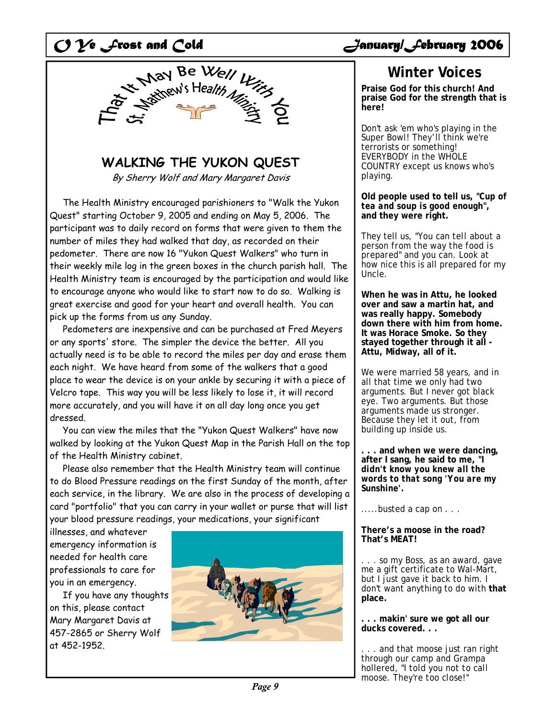

## **WALKING THE YUKON QUEST**

By Sherry Wolf and Mary Margaret Davis

 The Health Ministry encouraged parishioners to "Walk the Yukon Quest" starting October 9, 2005 and ending on May 5, 2006. The participant was to daily record on forms that were given to them the number of miles they had walked that day, as recorded on their pedometer. There are now 16 "Yukon Quest Walkers" who turn in their weekly mile log in the green boxes in the church parish hall. The Health Ministry team is encouraged by the participation and would like to encourage anyone who would like to start now to do so. Walking is great exercise and good for your heart and overall health. You can pick up the forms from us any Sunday.

 Pedometers are inexpensive and can be purchased at Fred Meyers or any sports' store. The simpler the device the better. All you actually need is to be able to record the miles per day and erase them each night. We have heard from some of the walkers that a good place to wear the device is on your ankle by securing it with a piece of Velcro tape. This way you will be less likely to lose it, it will record more accurately, and you will have it on all day long once you get dressed.

 You can view the miles that the "Yukon Quest Walkers" have now walked by looking at the Yukon Quest Map in the Parish Hall on the top of the Health Ministry cabinet.

 Please also remember that the Health Ministry team will continue to do Blood Pressure readings on the first Sunday of the month, after each service, in the library. We are also in the process of developing a card "portfolio" that you can carry in your wallet or purse that will list your blood pressure readings, your medications, your significant

illnesses, and whatever emergency information is needed for health care professionals to care for you in an emergency.

 If you have any thoughts on this, please contact Mary Margaret Davis at 457-2865 or Sherry Wolf at 452-1952.



## **Winter Voices**

**Praise God for this church! And praise God for the strength that is here!** 

Don't ask 'em who's playing in the Super Bowl! They'll think we're terrorists or something! EVERYBODY in the WHOLE COUNTRY except us knows who's playing.

**Old people used to tell us, "***Cup of tea and soup is good enough***", and they were right.** 

They tell us, "*You can tell about a person from the way the food is prepared*" and you can. Look at how nice this is all prepared for my Uncle.

**When he was in Attu, he looked over and saw a martin hat, and was really happy. Somebody down there with him from home. It was Horace Smoke. So they stayed together through it all - Attu, Midway, all of it.** 

We were married 58 years, and in all that time we only had two arguments. But I never got black eye. Two arguments. But those arguments made us stronger. Because they let it out, from building up inside us.

**. . . and when we were dancing, after I sang, he said to me, "***I didn't know you knew all the words to that song 'You are my Sunshine'.* 

.....busted a cap on . . .

#### **There's a moose in the road? That's MEAT!**

. . . so my Boss, as an award, gave me a gift certificate to Wal-Mart, but I just gave it back to him. I don't want anything to do with **that place.** 

**. . . makin' sure we got all our ducks covered. . .** 

. . . and that moose just ran right through our camp and Grampa hollered, "*I told you not to call moose. They're too close!"*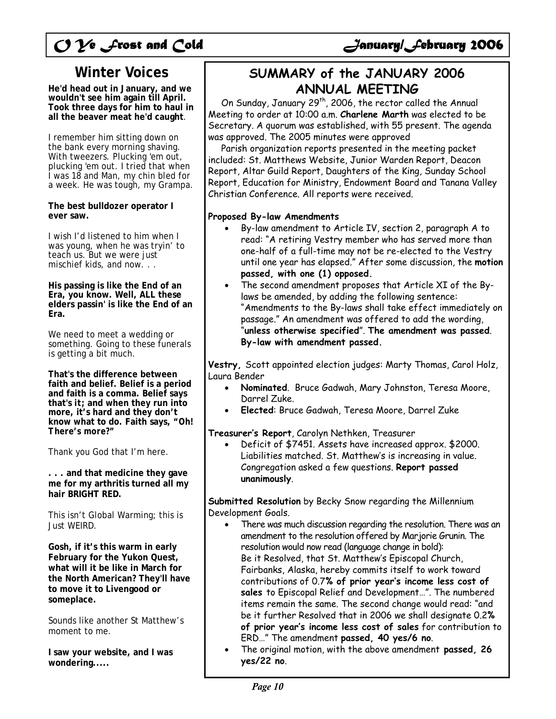# *O Ye frost and Cold*  $\bigcup$  *January/february 2006*

## **Winter Voices**

**He'd head out in January, and we wouldn't see him again till April. Took three days for him to haul in all the beaver meat he'd caught**.

I remember him sitting down on the bank every morning shaving. With tweezers. Plucking 'em out, plucking 'em out. I tried that when I was 18 and Man, my chin bled for a week. He was tough, my Grampa.

**The best bulldozer operator I ever saw.** 

I wish I'd listened to him when I was young, when he was tryin' to teach us. But we were just mischief kids, and now. . .

**His passing is like the End of an Era, you know. Well, ALL these elders passin' is like the End of an Era.** 

We need to meet a wedding or something. Going to these funerals is getting a bit much.

**That's the difference between faith and belief. Belief is a period and faith is a comma. Belief says that's** *it***; and when they run into more, it's hard and they don't know what to do. Faith says, "***Oh! There's more?"* 

Thank you God that I'm here.

**. . . and that medicine they gave me for my arthritis turned all my hair BRIGHT RED.** 

This isn't Global Warming; this is Just WEIRD.

**Gosh, if it's this warm in early February for the Yukon Quest, what will it be like in March for the North American? They'll have to move it to Livengood or someplace.** 

Sounds like another St Matthew's moment to me.

**I saw your website, and I was wondering.....** 

## **SUMMARY of the JANUARY 2006 ANNUAL MEETING**

On Sunday, January 29<sup>th</sup>, 2006, the rector called the Annual Meeting to order at 10:00 a.m. **Charlene Marth** was elected to be Secretary. A quorum was established, with 55 present. The agenda was approved. The 2005 minutes were approved

 Parish organization reports presented in the meeting packet included: St. Matthews Website, Junior Warden Report, Deacon Report, Altar Guild Report, Daughters of the King, Sunday School Report, Education for Ministry, Endowment Board and Tanana Valley Christian Conference. All reports were received.

### **Proposed By-law Amendments**

- By-law amendment to Article IV, section 2, paragraph A to read: "A retiring Vestry member who has served more than one-half of a full-time may not be re-elected to the Vestry until one year has elapsed." After some discussion, the **motion passed, with one (1) opposed.**
- The second amendment proposes that Article XI of the Bylaws be amended, by adding the following sentence: "Amendments to the By-laws shall take effect immediately on passage." An amendment was offered to add the wording, "**unless otherwise specified**". **The amendment was passed**. **By-law with amendment passed.**

**Vestry,** Scott appointed election judges: Marty Thomas, Carol Holz, Laura Bender

- **Nominated**. Bruce Gadwah, Mary Johnston, Teresa Moore, Darrel Zuke.
- **Elected**: Bruce Gadwah, Teresa Moore, Darrel Zuke

**Treasurer's Report**, Carolyn Nethken, Treasurer

• Deficit of \$7451. Assets have increased approx. \$2000. Liabilities matched. St. Matthew's is increasing in value. Congregation asked a few questions. **Report passed unanimously**.

**Submitted Resolution** by Becky Snow regarding the Millennium Development Goals.

- There was much discussion regarding the resolution. There was an amendment to the resolution offered by Marjorie Grunin. The resolution would now read (language change in bold): Be it Resolved, that St. Matthew's Episcopal Church, Fairbanks, Alaska, hereby commits itself to work toward contributions of 0.7**% of prior year's income less cost of sales** to Episcopal Relief and Development…". The numbered items remain the same. The second change would read: "and be it further Resolved that in 2006 we shall designate 0.2**% of prior year's income less cost of sales** for contribution to ERD…" The amendment **passed, 40 yes/6 no**.
- The original motion, with the above amendment **passed, 26 yes/22 no**.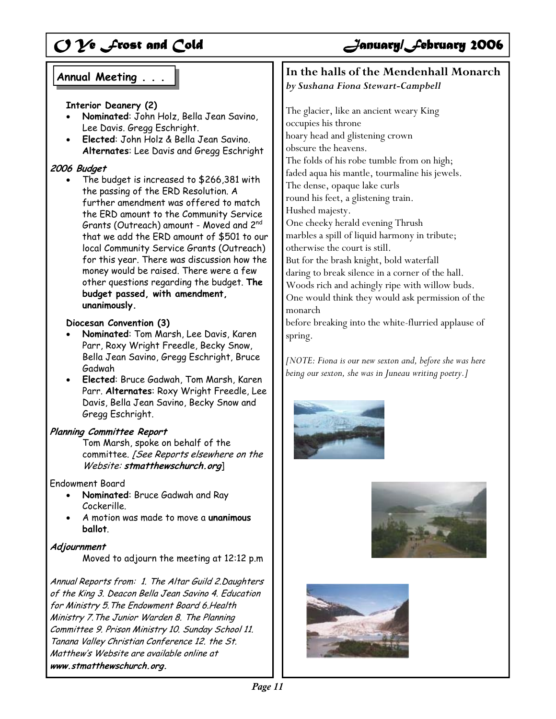# *O Ye frost and Cold*  $\bigcup$  *January/february 2006*

### **Interior Deanery (2)**

- **Nominated**: John Holz, Bella Jean Savino, Lee Davis. Gregg Eschright.
- **Elected**: John Holz & Bella Jean Savino. **Alternates**: Lee Davis and Gregg Eschright

### **2006 Budget**

• The budget is increased to \$266,381 with the passing of the ERD Resolution. A further amendment was offered to match the ERD amount to the Community Service Grants (Outreach) amount - Moved and 2nd that we add the ERD amount of \$501 to our local Community Service Grants (Outreach) for this year. There was discussion how the money would be raised. There were a few other questions regarding the budget. **The budget passed, with amendment, unanimously.** 

### **Diocesan Convention (3)**

- **Nominated**: Tom Marsh, Lee Davis, Karen Parr, Roxy Wright Freedle, Becky Snow, Bella Jean Savino, Gregg Eschright, Bruce Gadwah
- **Elected**: Bruce Gadwah, Tom Marsh, Karen Parr. **Alternates**: Roxy Wright Freedle, Lee Davis, Bella Jean Savino, Becky Snow and Gregg Eschright.

#### **Planning Committee Report**

 Tom Marsh, spoke on behalf of the committee. [See Reports elsewhere on the Website: **stmatthewschurch.org**]

Endowment Board

- **Nominated**: Bruce Gadwah and Ray Cockerille.
- A motion was made to move a **unanimous ballot**.

### **Adjournment**

Moved to adjourn the meeting at 12:12 p.m

Annual Reports from: 1. The Altar Guild 2.Daughters of the King 3. Deacon Bella Jean Savino 4. Education for Ministry 5.The Endowment Board 6.Health Ministry 7.The Junior Warden 8. The Planning Committee 9. Prison Ministry 10. Sunday School 11. Tanana Valley Christian Conference 12. the St. Matthew's Website are available online at **www.stmatthewschurch.org.** 

### **Annual Meeting . . . In the halls of the Mendenhall Monarch**  *by Sushana Fiona Stewart-Campbell*

The glacier, like an ancient weary King occupies his throne hoary head and glistening crown obscure the heavens. The folds of his robe tumble from on high; faded aqua his mantle, tourmaline his jewels. The dense, opaque lake curls round his feet, a glistening train. Hushed majesty. One cheeky herald evening Thrush marbles a spill of liquid harmony in tribute; otherwise the court is still. But for the brash knight, bold waterfall daring to break silence in a corner of the hall. Woods rich and achingly ripe with willow buds. One would think they would ask permission of the monarch

before breaking into the white-flurried applause of spring.

*[NOTE: Fiona is our new sexton and, before she was here being our sexton, she was in Juneau writing poetry.]* 





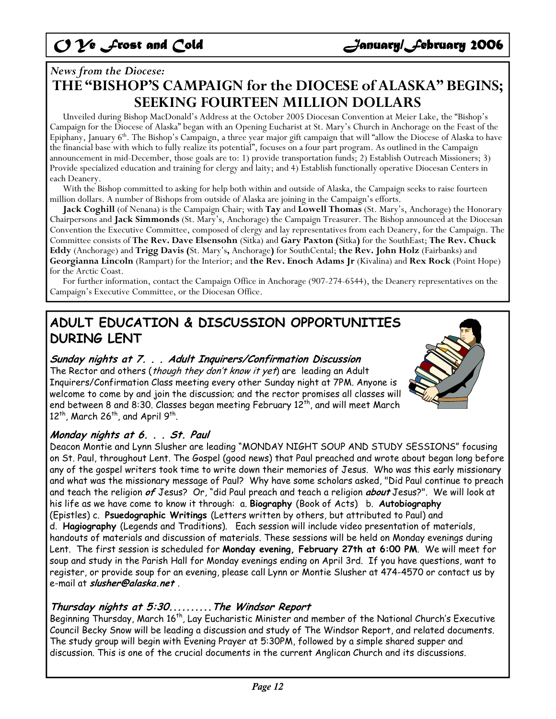# *O Ye frost and Cold*  $\mathcal{O}$  *January/february 2006*

## *News from the Diocese:*  **THE "BISHOP'S CAMPAIGN for the DIOCESE of ALASKA" BEGINS; SEEKING FOURTEEN MILLION DOLLARS**

 Unveiled during Bishop MacDonald's Address at the October 2005 Diocesan Convention at Meier Lake, the "Bishop's Campaign for the Diocese of Alaska" began with an Opening Eucharist at St. Mary's Church in Anchorage on the Feast of the Epiphany, January  $6<sup>th</sup>$ . The Bishop's Campaign, a three year major gift campaign that will "allow the Diocese of Alaska to have the financial base with which to fully realize its potential", focuses on a four part program. As outlined in the Campaign announcement in mid-December, those goals are to: 1) provide transportation funds; 2) Establish Outreach Missioners; 3) Provide specialized education and training for clergy and laity; and 4) Establish functionally operative Diocesan Centers in each Deanery.

With the Bishop committed to asking for help both within and outside of Alaska, the Campaign seeks to raise fourteen million dollars. A number of Bishops from outside of Alaska are joining in the Campaign's efforts.

**Jack Coghill** (of Nenana) is the Campaign Chair; with **Tay** and **Lowell Thomas** (St. Mary's, Anchorage) the Honorary Chairpersons and **Jack Simmonds** (St. Mary's, Anchorage) the Campaign Treasurer. The Bishop announced at the Diocesan Convention the Executive Committee, composed of clergy and lay representatives from each Deanery, for the Campaign. The Committee consists of **The Rev. Dave Elsensohn** (Sitka) and **Gary Paxton (**Sitka**)** for the SouthEast; **The Rev. Chuck Eddy** (Anchorage) and **Trigg Davis (**St. Mary's**,** Anchorage**)** for SouthCental; **the Rev. John Holz** (Fairbanks) and **Georgianna Lincoln** (Rampart) for the Interior; and **the Rev. Enoch Adams Jr** (Kivalina) and **Rex Rock** (Point Hope) for the Arctic Coast.

 For further information, contact the Campaign Office in Anchorage (907-274-6544), the Deanery representatives on the Campaign's Executive Committee, or the Diocesan Office.

## **ADULT EDUCATION & DISCUSSION OPPORTUNITIES DURING LENT**

### **Sunday nights at 7. . . Adult Inquirers/Confirmation Discussion**

The Rector and others (*though they don't know it yet*) are leading an Adult Inquirers/Confirmation Class meeting every other Sunday night at 7PM. Anyone is welcome to come by and join the discussion; and the rector promises all classes will end between 8 and 8:30. Classes began meeting February 12<sup>th</sup>, and will meet March  $12<sup>th</sup>$ , March 26<sup>th</sup>, and April 9<sup>th</sup>.



### **Monday nights at 6. . . St. Paul**

Deacon Montie and Lynn Slusher are leading "MONDAY NIGHT SOUP AND STUDY SESSIONS" focusing on St. Paul, throughout Lent. The Gospel (good news) that Paul preached and wrote about began long before any of the gospel writers took time to write down their memories of Jesus. Who was this early missionary and what was the missionary message of Paul? Why have some scholars asked, "Did Paul continue to preach and teach the religion **of** Jesus? Or, "did Paul preach and teach a religion **about** Jesus?". We will look at his life as we have come to know it through: a. **Biography** (Book of Acts) b. **Autobiography** (Epistles) c. **Psuedographic Writings** (Letters written by others, but attributed to Paul) and d. **Hagiography** (Legends and Traditions). Each session will include video presentation of materials, handouts of materials and discussion of materials. These sessions will be held on Monday evenings during Lent. The first session is scheduled for **Monday evening, February 27th at 6:00 PM**. We will meet for soup and study in the Parish Hall for Monday evenings ending on April 3rd. If you have questions, want to register, or provide soup for an evening, please call Lynn or Montie Slusher at 474-4570 or contact us by e-mail at **slusher@alaska.net** .

### **Thursday nights at 5:30..........The Windsor Report**

Beginning Thursday, March 16<sup>th</sup>, Lay Eucharistic Minister and member of the National Church's Executive Council Becky Snow will be leading a discussion and study of The Windsor Report, and related documents. The study group will begin with Evening Prayer at 5:30PM, followed by a simple shared supper and discussion. This is one of the crucial documents in the current Anglican Church and its discussions.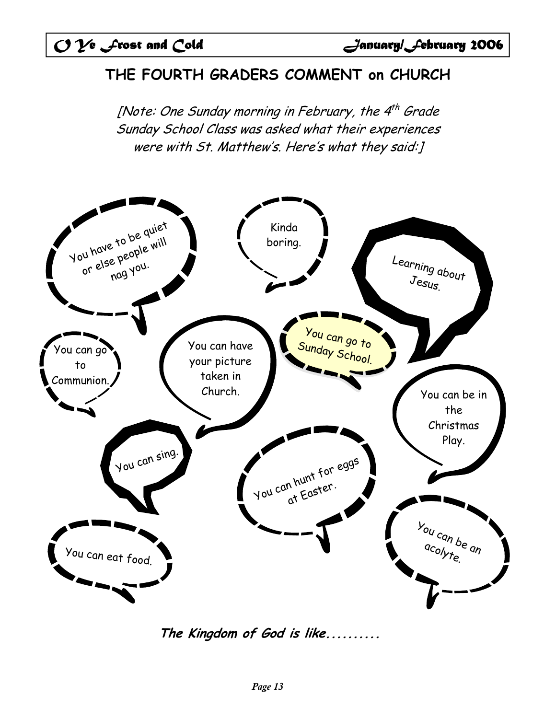# **THE FOURTH GRADERS COMMENT on CHURCH**

[Note: One Sunday morning in February, the  $4<sup>th</sup>$  Grade Sunday School Class was asked what their experiences were with St. Matthew's. Here's what they said:]



The Kingdom of God is like...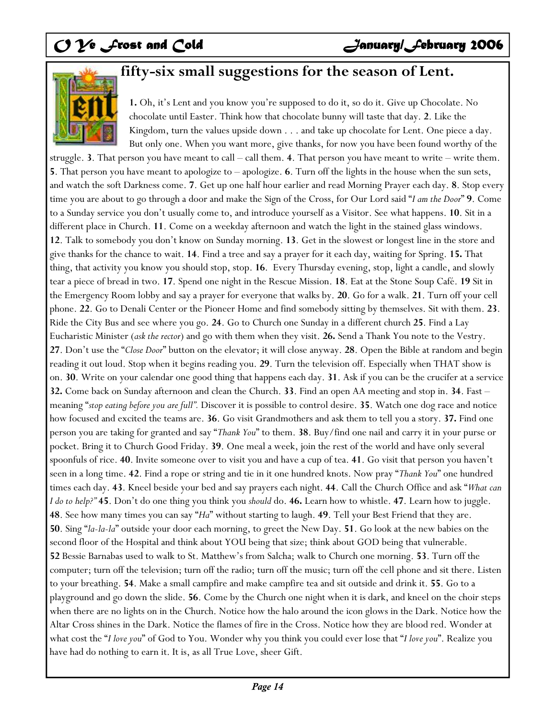

# **fifty-six small suggestions for the season of Lent.**

**1.** Oh, it's Lent and you know you're supposed to do it, so do it. Give up Chocolate. No chocolate until Easter. Think how that chocolate bunny will taste that day. **2**. Like the Kingdom, turn the values upside down . . . and take up chocolate for Lent. One piece a day. But only one. When you want more, give thanks, for now you have been found worthy of the

struggle. **3**. That person you have meant to call – call them. **4**. That person you have meant to write – write them. **5**. That person you have meant to apologize to – apologize. **6**. Turn off the lights in the house when the sun sets, and watch the soft Darkness come. **7**. Get up one half hour earlier and read Morning Prayer each day. **8**. Stop every time you are about to go through a door and make the Sign of the Cross, for Our Lord said "*I am the Door*" **9**. Come to a Sunday service you don't usually come to, and introduce yourself as a Visitor. See what happens. **10**. Sit in a different place in Church. **11**. Come on a weekday afternoon and watch the light in the stained glass windows. **12**. Talk to somebody you don't know on Sunday morning. **13**. Get in the slowest or longest line in the store and give thanks for the chance to wait. **14**. Find a tree and say a prayer for it each day, waiting for Spring. **15.** That thing, that activity you know you should stop, stop. **16**. Every Thursday evening, stop, light a candle, and slowly tear a piece of bread in two. **17**. Spend one night in the Rescue Mission. **18**. Eat at the Stone Soup Café. **19** Sit in the Emergency Room lobby and say a prayer for everyone that walks by. **20**. Go for a walk. **21**. Turn off your cell phone. **22**. Go to Denali Center or the Pioneer Home and find somebody sitting by themselves. Sit with them. **23**. Ride the City Bus and see where you go. **24**. Go to Church one Sunday in a different church **25**. Find a Lay Eucharistic Minister (*ask the rector*) and go with them when they visit. **26.** Send a Thank You note to the Vestry. **27**. Don't use the "*Close Door*" button on the elevator; it will close anyway. **28**. Open the Bible at random and begin reading it out loud. Stop when it begins reading you. **29**. Turn the television off. Especially when THAT show is on. **30**. Write on your calendar one good thing that happens each day. **31**. Ask if you can be the crucifer at a service **32.** Come back on Sunday afternoon and clean the Church. **33**. Find an open AA meeting and stop in. **34**. Fast – meaning "*stop eating before you are full".* Discover it is possible to control desire. **35**. Watch one dog race and notice how focused and excited the teams are. **36**. Go visit Grandmothers and ask them to tell you a story. **37.** Find one person you are taking for granted and say "*Thank You*" to them. **38**. Buy/find one nail and carry it in your purse or pocket. Bring it to Church Good Friday. **39**. One meal a week, join the rest of the world and have only several spoonfuls of rice. **40**. Invite someone over to visit you and have a cup of tea. **41**. Go visit that person you haven't seen in a long time. **42**. Find a rope or string and tie in it one hundred knots. Now pray "*Thank You*" one hundred times each day. **43**. Kneel beside your bed and say prayers each night. **44**. Call the Church Office and ask "*What can I do to help?"* **45**. Don't do one thing you think you *should* do. **46.** Learn how to whistle. **47**. Learn how to juggle. **48**. See how many times you can say "*Ha*" without starting to laugh. **49**. Tell your Best Friend that they are. **50**. Sing "*la-la-la*" outside your door each morning, to greet the New Day. **51**. Go look at the new babies on the second floor of the Hospital and think about YOU being that size; think about GOD being that vulnerable. **52** Bessie Barnabas used to walk to St. Matthew's from Salcha; walk to Church one morning. **53**. Turn off the computer; turn off the television; turn off the radio; turn off the music; turn off the cell phone and sit there. Listen to your breathing. **54**. Make a small campfire and make campfire tea and sit outside and drink it. **55**. Go to a playground and go down the slide. **56**. Come by the Church one night when it is dark, and kneel on the choir steps when there are no lights on in the Church. Notice how the halo around the icon glows in the Dark. Notice how the Altar Cross shines in the Dark. Notice the flames of fire in the Cross. Notice how they are blood red. Wonder at what cost the "*I love you*" of God to You. Wonder why you think you could ever lose that "*I love you*". Realize you have had do nothing to earn it. It is, as all True Love, sheer Gift.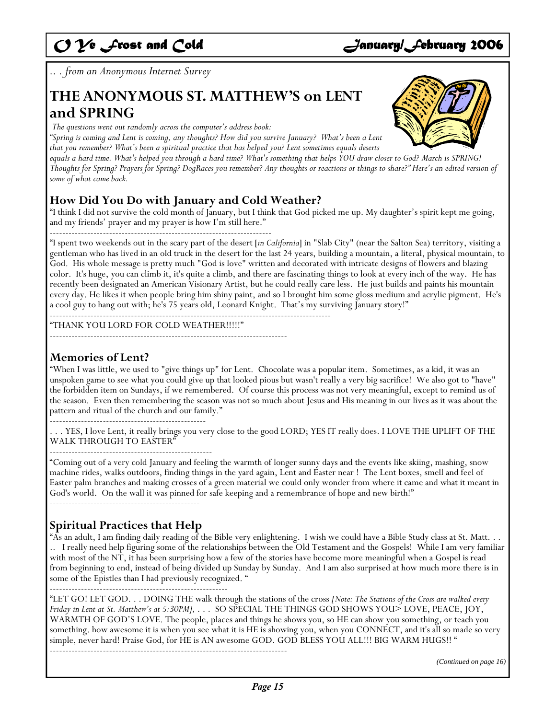# *O Ye Frost and Cold* **Cold** Sanuary/*February 2006*

*.. . from an Anonymous Internet Survey* 

## **THE ANONYMOUS ST. MATTHEW'S on LENT and SPRING**

 *The questions went out randomly across the computer's address book:* 

*"Spring is coming and Lent is coming, any thoughts? How did you survive January? What's been a Lent that you remember? What's been a spiritual practice that has helped you? Lent sometimes equals deserts* 

*equals a hard time. What's helped you through a hard time? What's something that helps YOU draw closer to God? March is SPRING! Thoughts for Spring? Prayers for Spring? DogRaces you remember? Any thoughts or reactions or things to share?" Here's an edited version of some of what came back.* 

### **How Did You Do with January and Cold Weather?**

"I think I did not survive the cold month of January, but I think that God picked me up. My daughter's spirit kept me going, and my friends' prayer and my prayer is how I'm still here."

-----------------------------------------------------------------------

"I spent two weekends out in the scary part of the desert [*in California*] in "Slab City" (near the Salton Sea) territory, visiting a gentleman who has lived in an old truck in the desert for the last 24 years, building a mountain, a literal, physical mountain, to God. His whole message is pretty much "God is love" written and decorated with intricate designs of flowers and blazing color. It's huge, you can climb it, it's quite a climb, and there are fascinating things to look at every inch of the way. He has recently been designated an American Visionary Artist, but he could really care less. He just builds and paints his mountain every day. He likes it when people bring him shiny paint, and so I brought him some gloss medium and acrylic pigment. He's a cool guy to hang out with; he's 75 years old, Leonard Knight. That's my surviving January story!"

------------------------------------------------------------------------------------------ "THANK YOU LORD FOR COLD WEATHER!!!!!"

----------------------------------------------------------------------------

### **Memories of Lent?**

"When I was little, we used to "give things up" for Lent. Chocolate was a popular item. Sometimes, as a kid, it was an unspoken game to see what you could give up that looked pious but wasn't really a very big sacrifice! We also got to "have" the forbidden item on Sundays, if we remembered. Of course this process was not very meaningful, except to remind us of the season. Even then remembering the season was not so much about Jesus and His meaning in our lives as it was about the pattern and ritual of the church and our family."

--------------------------------------------------

. . . YES, I love Lent, it really brings you very close to the good LORD; YES IT really does. I LOVE THE UPLIFT OF THE WALK THROUGH TO EASTER"

----------------------------------------------------

"Coming out of a very cold January and feeling the warmth of longer sunny days and the events like skiing, mashing, snow machine rides, walks outdoors, finding things in the yard again, Lent and Easter near ! The Lent boxes, smell and feel of Easter palm branches and making crosses of a green material we could only wonder from where it came and what it meant in God's world. On the wall it was pinned for safe keeping and a remembrance of hope and new birth!"

------------------------------------------------

### **Spiritual Practices that Help**

"As an adult, I am finding daily reading of the Bible very enlightening. I wish we could have a Bible Study class at St. Matt. . . .. I really need help figuring some of the relationships between the Old Testament and the Gospels! While I am very familiar with most of the NT, it has been surprising how a few of the stories have become more meaningful when a Gospel is read from beginning to end, instead of being divided up Sunday by Sunday. And I am also surprised at how much more there is in some of the Epistles than I had previously recognized. "

---------------------------------------------------------

"LET GO! LET GOD. . . DOING THE walk through the stations of the cross *[Note: The Stations of the Cross are walked every Friday in Lent at St. Matthew's at 5:30PM],* . . . SO SPECIAL THE THINGS GOD SHOWS YOU> LOVE, PEACE, JOY, WARMTH OF GOD'S LOVE. The people, places and things he shows you, so HE can show you something, or teach you something. how awesome it is when you see what it is HE is showing you, when you CONNECT, and it's all so made so very simple, never hard! Praise God, for HE is AN awesome GOD. GOD BLESS YOU ALL!!! BIG WARM HUGS!! " ----------------------------------------------------------------------------

*(Continued on page 16)* 

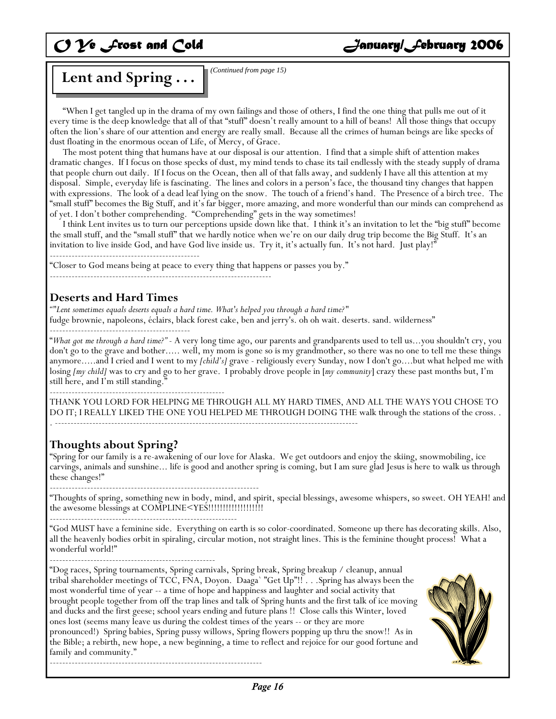# *O Ye frost and Cold* **Cold** Sanuary/*February 2006*

# **Lent and Spring ... I** (Continued from page 15)

 "When I get tangled up in the drama of my own failings and those of others, I find the one thing that pulls me out of it every time is the deep knowledge that all of that "stuff" doesn't really amount to a hill of beans! All those things that occupy often the lion's share of our attention and energy are really small. Because all the crimes of human beings are like specks of dust floating in the enormous ocean of Life, of Mercy, of Grace.

 The most potent thing that humans have at our disposal is our attention. I find that a simple shift of attention makes dramatic changes. If I focus on those specks of dust, my mind tends to chase its tail endlessly with the steady supply of drama that people churn out daily. If I focus on the Ocean, then all of that falls away, and suddenly I have all this attention at my disposal. Simple, everyday life is fascinating. The lines and colors in a person's face, the thousand tiny changes that happen with expressions. The look of a dead leaf lying on the snow. The touch of a friend's hand. The Presence of a birch tree. The "small stuff" becomes the Big Stuff, and it's far bigger, more amazing, and more wonderful than our minds can comprehend as of yet. I don't bother comprehending. "Comprehending" gets in the way sometimes!

 I think Lent invites us to turn our perceptions upside down like that. I think it's an invitation to let the "big stuff" become the small stuff, and the "small stuff" that we hardly notice when we're on our daily drug trip become the Big Stuff. It's an invitation to live inside God, and have God live inside us. Try it, it's actually fun. It's not hard. Just play!" ------------------------------------------------

"Closer to God means being at peace to every thing that happens or passes you by."

-----------------------------------------------------------------------

### **Deserts and Hard Times**

*""Lent sometimes equals deserts equals a hard time. What's helped you through a hard time?"* fudge brownie, napoleons, éclairs, black forest cake, ben and jerry's. oh oh wait. deserts. sand. wilderness" ---------------------------------------------

"*What got me through a hard time?"* - A very long time ago, our parents and grandparents used to tell us...you shouldn't cry, you don't go to the grave and bother..... well, my mom is gone so is my grandmother, so there was no one to tell me these things anymore.....and I cried and I went to my *[child's]* grave - religiously every Sunday, now I don't go....but what helped me with losing *[my child]* was to cry and go to her grave. I probably drove people in [*my community*] crazy these past months but, I'm still here, and I'm still standing."

--------------------------------------------------------

THANK YOU LORD FOR HELPING ME THROUGH ALL MY HARD TIMES, AND ALL THE WAYS YOU CHOSE TO DO IT; I REALLY LIKED THE ONE YOU HELPED ME THROUGH DOING THE walk through the stations of the cross. . . -------------------------------------------------------------------------------------------------

### **Thoughts about Spring?**

"Spring for our family is a re-awakening of our love for Alaska. We get outdoors and enjoy the skiing, snowmobiling, ice carvings, animals and sunshine... life is good and another spring is coming, but I am sure glad Jesus is here to walk us through these changes!"

-------------------------------------------------------------------

"Thoughts of spring, something new in body, mind, and spirit, special blessings, awesome whispers, so sweet. OH YEAH! and the awesome blessings at COMPLINE<YES!!!!!!!!!!!!!!!!!!!

------------------------------------------------------------ "God MUST have a feminine side. Everything on earth is so color-coordinated. Someone up there has decorating skills. Also, all the heavenly bodies orbit in spiraling, circular motion, not straight lines. This is the feminine thought process! What a

wonderful world!" -----------------------------------------------------

"Dog races, Spring tournaments, Spring carnivals, Spring break, Spring breakup / cleanup, annual tribal shareholder meetings of TCC, FNA, Doyon. Daaga` "Get Up"!! . . .Spring has always been the most wonderful time of year -- a time of hope and happiness and laughter and social activity that brought people together from off the trap lines and talk of Spring hunts and the first talk of ice moving and ducks and the first geese; school years ending and future plans !! Close calls this Winter, loved ones lost (seems many leave us during the coldest times of the years -- or they are more pronounced!) Spring babies, Spring pussy willows, Spring flowers popping up thru the snow!! As in the Bible; a rebirth, new hope, a new beginning, a time to reflect and rejoice for our good fortune and family and community." --------------------------------------------------------------------

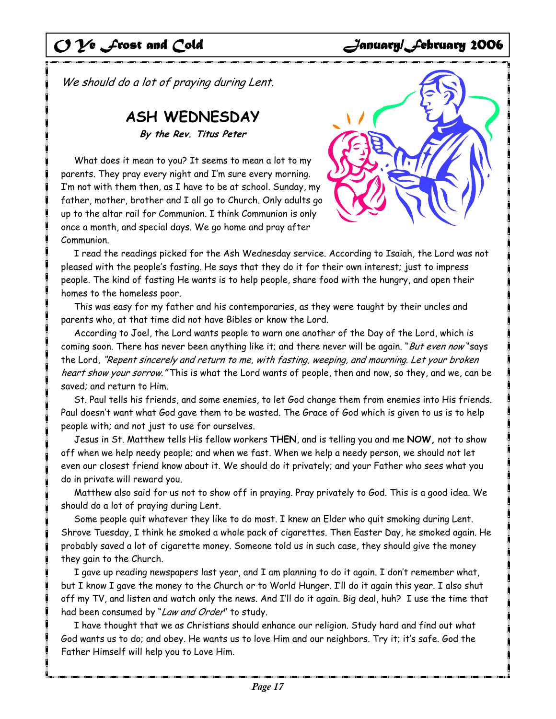# *O Ye frost and Cold* **Graduary Annuary/February 2006**

We should do a lot of praying during Lent.

## **ASH WEDNESDAY**

**By the Rev. Titus Peter** 

What does it mean to you? It seems to mean a lot to my parents. They pray every night and I'm sure every morning. I'm not with them then, as I have to be at school. Sunday, my father, mother, brother and I all go to Church. Only adults go up to the altar rail for Communion. I think Communion is only once a month, and special days. We go home and pray after Communion.



 I read the readings picked for the Ash Wednesday service. According to Isaiah, the Lord was not pleased with the people's fasting. He says that they do it for their own interest; just to impress people. The kind of fasting He wants is to help people, share food with the hungry, and open their homes to the homeless poor.

 This was easy for my father and his contemporaries, as they were taught by their uncles and parents who, at that time did not have Bibles or know the Lord.

 According to Joel, the Lord wants people to warn one another of the Day of the Lord, which is coming soon. There has never been anything like it; and there never will be again. "But even now "says the Lord, "Repent sincerely and return to me, with fasting, weeping, and mourning. Let your broken heart show your sorrow. "This is what the Lord wants of people, then and now, so they, and we, can be saved; and return to Him.

 St. Paul tells his friends, and some enemies, to let God change them from enemies into His friends. Paul doesn't want what God gave them to be wasted. The Grace of God which is given to us is to help people with; and not just to use for ourselves.

 Jesus in St. Matthew tells His fellow workers **THEN**, and is telling you and me **NOW,** not to show off when we help needy people; and when we fast. When we help a needy person, we should not let even our closest friend know about it. We should do it privately; and your Father who sees what you do in private will reward you.

 Matthew also said for us not to show off in praying. Pray privately to God. This is a good idea. We should do a lot of praying during Lent.

 Some people quit whatever they like to do most. I knew an Elder who quit smoking during Lent. Shrove Tuesday, I think he smoked a whole pack of cigarettes. Then Easter Day, he smoked again. He probably saved a lot of cigarette money. Someone told us in such case, they should give the money they gain to the Church.

 I gave up reading newspapers last year, and I am planning to do it again. I don't remember what, but I know I gave the money to the Church or to World Hunger. I'll do it again this year. I also shut off my TV, and listen and watch only the news. And I'll do it again. Big deal, huh? I use the time that had been consumed by "Law and Order" to study.

 I have thought that we as Christians should enhance our religion. Study hard and find out what God wants us to do; and obey. He wants us to love Him and our neighbors. Try it; it's safe. God the Father Himself will help you to Love Him.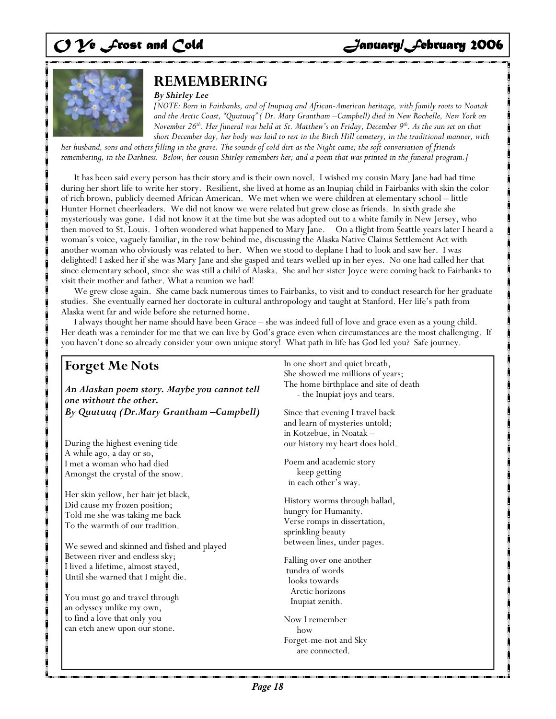

## **REMEMBERING**

#### *By Shirley Lee*

*[NOTE: Born in Fairbanks, and of Inupiaq and African-American heritage, with family roots to Noatak and the Arctic Coast, "Quutuuq" ( Dr. Mary Grantham –Campbell) died in New Rochelle, New York on November 26th. Her funeral was held at St. Matthew's on Friday, December 9th. As the sun set on that short December day, her body was laid to rest in the Birch Hill cemetery, in the traditional manner, with* 

*her husband, sons and others filling in the grave. The sounds of cold dirt as the Night came; the soft conversation of friends remembering, in the Darkness. Below, her cousin Shirley remembers her; and a poem that was printed in the funeral program.]* 

 It has been said every person has their story and is their own novel. I wished my cousin Mary Jane had had time during her short life to write her story. Resilient, she lived at home as an Inupiaq child in Fairbanks with skin the color of rich brown, publicly deemed African American. We met when we were children at elementary school – little Hunter Hornet cheerleaders. We did not know we were related but grew close as friends. In sixth grade she mysteriously was gone. I did not know it at the time but she was adopted out to a white family in New Jersey, who then moved to St. Louis. I often wondered what happened to Mary Jane. On a flight from Seattle years later I heard a woman's voice, vaguely familiar, in the row behind me, discussing the Alaska Native Claims Settlement Act with another woman who obviously was related to her. When we stood to deplane I had to look and saw her. I was delighted! I asked her if she was Mary Jane and she gasped and tears welled up in her eyes. No one had called her that since elementary school, since she was still a child of Alaska. She and her sister Joyce were coming back to Fairbanks to visit their mother and father. What a reunion we had!

 We grew close again. She came back numerous times to Fairbanks, to visit and to conduct research for her graduate studies. She eventually earned her doctorate in cultural anthropology and taught at Stanford. Her life's path from Alaska went far and wide before she returned home.

 I always thought her name should have been Grace – she was indeed full of love and grace even as a young child. Her death was a reminder for me that we can live by God's grace even when circumstances are the most challenging. If you haven't done so already consider your own unique story! What path in life has God led you? Safe journey.

### **Forget Me Nots**

*An Alaskan poem story. Maybe you cannot tell one without the other. By Quutuuq (Dr.Mary Grantham –Campbell)* 

During the highest evening tide A while ago, a day or so, I met a woman who had died Amongst the crystal of the snow.

Her skin yellow, her hair jet black, Did cause my frozen position; Told me she was taking me back To the warmth of our tradition.

We sewed and skinned and fished and played Between river and endless sky; I lived a lifetime, almost stayed, Until she warned that I might die.

You must go and travel through an odyssey unlike my own, to find a love that only you can etch anew upon our stone.

In one short and quiet breath, She showed me millions of years; The home birthplace and site of death - the Inupiat joys and tears.

Since that evening I travel back and learn of mysteries untold; in Kotzebue, in Noatak – our history my heart does hold.

Poem and academic story keep getting in each other's way.

History worms through ballad, hungry for Humanity. Verse romps in dissertation, sprinkling beauty between lines, under pages.

Falling over one another tundra of words looks towards Arctic horizons Inupiat zenith.

Now I remember how Forget-me-not and Sky are connected.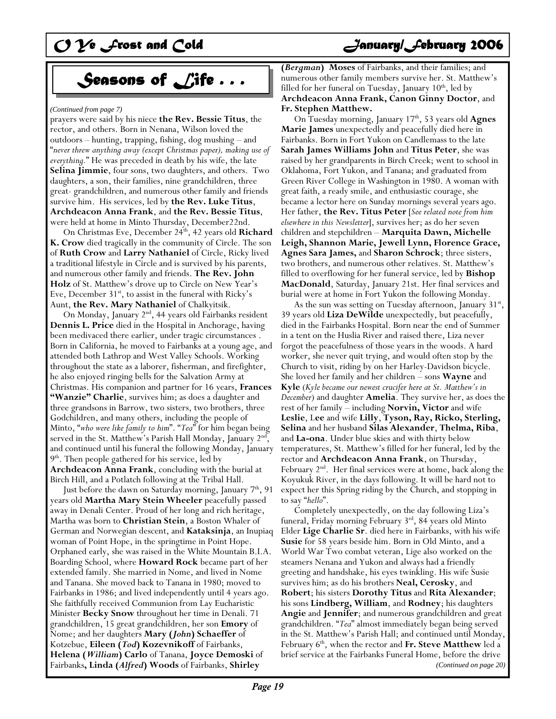# *O Ye F*rost and Cold *January/February 2006*

# *Seasons of Life . . .*

#### *(Continued from page 7)*

prayers were said by his niece **the Rev. Bessie Titus**, the rector, and others. Born in Nenana, Wilson loved the outdoors – hunting, trapping, fishing, dog mushing – and "*never threw anything away (except Christmas paper), making use of everything.*" He was preceded in death by his wife, the late **Selina Jimmie**, four sons, two daughters, and others. Two daughters, a son, their families, nine grandchildren, three great- grandchildren, and numerous other family and friends survive him. His services, led by **the Rev. Luke Titus**, **Archdeacon Anna Frank**, and **the Rev. Bessie Titus**, were held at home in Minto Thursday, December22nd.

On Christmas Eve, December 24<sup>th</sup>, 42 years old **Richard K. Crow** died tragically in the community of Circle. The son of **Ruth Crow** and **Larry Nathaniel** of Circle, Ricky lived a traditional lifestyle in Circle and is survived by his parents, and numerous other family and friends. **The Rev. John Holz** of St. Matthew's drove up to Circle on New Year's Eve, December  $31<sup>st</sup>$ , to assist in the funeral with Ricky's Aunt, **the Rev. Mary Nathaniel** of Chalkyitsik.

On Monday, January 2<sup>nd</sup>, 44 years old Fairbanks resident **Dennis L. Price** died in the Hospital in Anchorage, having been medivaced there earlier, under tragic circumstances . Born in California, he moved to Fairbanks at a young age, and attended both Lathrop and West Valley Schools. Working throughout the state as a laborer, fisherman, and firefighter, he also enjoyed ringing bells for the Salvation Army at Christmas. His companion and partner for 16 years, **Frances "Wanzie" Charlie**, survives him; as does a daughter and three grandsons in Barrow, two sisters, two brothers, three Godchildren, and many others, including the people of Minto, "*who were like family to him*". "*Tea*" for him began being served in the St. Matthew's Parish Hall Monday, January 2<sup>nd</sup>, and continued until his funeral the following Monday, January 9<sup>th</sup>. Then people gathered for his service, led by

**Archdeacon Anna Frank**, concluding with the burial at Birch Hill, and a Potlatch following at the Tribal Hall.

Just before the dawn on Saturday morning, January 7<sup>th</sup>, 91 years old **Martha Mary Stein Wheeler** peacefully passed away in Denali Center. Proud of her long and rich heritage, Martha was born to **Christian Stein**, a Boston Whaler of German and Norwegian descent, and **Kataksinja**, an Inupiaq woman of Point Hope, in the springtime in Point Hope. Orphaned early, she was raised in the White Mountain B.I.A. Boarding School, where **Howard Rock** became part of her extended family. She married in Nome, and lived in Nome and Tanana. She moved back to Tanana in 1980; moved to Fairbanks in 1986; and lived independently until 4 years ago. She faithfully received Communion from Lay Eucharistic Minister **Becky Snow** throughout her time in Denali. 71 grandchildren, 15 great grandchildren, her son **Emory** of Nome; and her daughters **Mary (***John***) Schaeffer** of Kotzebue, **Eileen (***Tod***) Kozevnikoff** of Fairbanks, **Helena (***William***) Carlo** of Tanana, **Joyce Demoski** of Fairbanks**, Linda (***Alfred***) Woods** of Fairbanks, **Shirley** 

**(***Bergman***) Moses** of Fairbanks, and their families; and numerous other family members survive her. St. Matthew's filled for her funeral on Tuesday, January 10<sup>th</sup>, led by **Archdeacon Anna Frank, Canon Ginny Doctor**, and **Fr. Stephen Matthew.**

On Tuesday morning, January 17<sup>th</sup>, 53 years old **Agnes Marie James** unexpectedly and peacefully died here in Fairbanks. Born in Fort Yukon on Candlemass to the late **Sarah James Williams John** and **Titus Peter**, she was raised by her grandparents in Birch Creek; went to school in Oklahoma, Fort Yukon, and Tanana; and graduated from Green River College in Washington in 1980. A woman with great faith, a ready smile, and enthusiastic courage, she became a lector here on Sunday mornings several years ago. Her father, **the Rev. Titus Peter** [*See related note from him elsewhere in this Newsletter*], survives her; as do her seven children and stepchildren – **Marquita Dawn, Michelle Leigh, Shannon Marie, Jewell Lynn, Florence Grace, Agnes Sara James,** and **Sharon Schrock**; three sisters, two brothers, and numerous other relatives. St. Matthew's filled to overflowing for her funeral service, led by **Bishop MacDonald**, Saturday, January 21st. Her final services and burial were at home in Fort Yukon the following Monday.

As the sun was setting on Tuesday afternoon, January  $31<sup>st</sup>$ , 39 years old **Liza DeWilde** unexpectedly, but peacefully, died in the Fairbanks Hospital. Born near the end of Summer in a tent on the Huslia River and raised there, Liza never forgot the peacefulness of those years in the woods. A hard worker, she never quit trying, and would often stop by the Church to visit, riding by on her Harley-Davidson bicycle. She loved her family and her children – sons **Wayne** and **Kyle** (*Kyle became our newest crucifer here at St. Matthew's in December*) and daughter **Amelia**. They survive her, as does the rest of her family – including **Norvin, Victor** and wife **Leslie**, L**ee** and wife **Lilly**, **Tyson, Ray, Ricko, Sterling, Selina** and her husband **Silas Alexander**, **Thelma, Riba**, and **La-ona**. Under blue skies and with thirty below temperatures, St. Matthew's filled for her funeral, led by the rector and **Archdeacon Anna Frank**, on Thursday, February  $2<sup>nd</sup>$ . Her final services were at home, back along the Koyukuk River, in the days following. It will be hard not to expect her this Spring riding by the Church, and stopping in to say "*hello*".

 Completely unexpectedly, on the day following Liza's funeral, Friday morning February 3rd, 84 years old Minto Elder **Lige Charlie Sr**. died here in Fairbanks, with his wife **Susie** for 58 years beside him. Born in Old Minto, and a World War Two combat veteran, Lige also worked on the steamers Nenana and Yukon and always had a friendly greeting and handshake, his eyes twinkling. His wife Susie survives him; as do his brothers **Neal, Cerosky**, and **Robert**; his sisters **Dorothy Titus** and **Rita Alexander**; his sons **Lindberg, William**, and **Rodney**; his daughters **Angie** and **Jennifer**; and numerous grandchildren and great grandchildren. "*Tea*" almost immediately began being served in the St. Matthew's Parish Hall; and continued until Monday, February 6<sup>th</sup>, when the rector and Fr. Steve Matthew led a brief service at the Fairbanks Funeral Home, before the drive *(Continued on page 20)*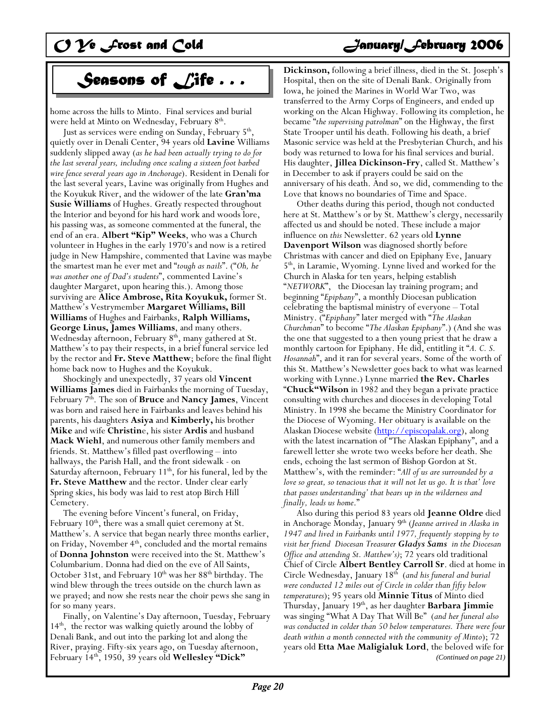# *O Ye Frost and Cold* **Cold** Sanuary/*February 2006*

# *Seasons of Life . . .*

home across the hills to Minto. Final services and burial were held at Minto on Wednesday, February  $8<sup>th</sup>$ .

 Just as services were ending on Sunday, February 5th, quietly over in Denali Center, 94 years old **Lavine** Williams suddenly slipped away (*as he had been actually trying to do for the last several years, including once scaling a sixteen foot barbed wire fence several years ago in Anchorage*). Resident in Denali for the last several years, Lavine was originally from Hughes and the Koyukuk River, and the widower of the late **Gran'ma Susie Williams** of Hughes. Greatly respected throughout the Interior and beyond for his hard work and woods lore, his passing was, as someone commented at the funeral, the end of an era. **Albert "Kip" Weeks**, who was a Church volunteer in Hughes in the early 1970's and now is a retired judge in New Hampshire, commented that Lavine was maybe the smartest man he ever met and "*tough as nails*". ("*Oh, he was another one of Dad's students*", commented Lavine's daughter Margaret, upon hearing this.). Among those surviving are **Alice Ambrose, Rita Koyukuk,** former St. Matthew's Vestrymember **Margaret Williams, Bill Williams** of Hughes and Fairbanks, **Ralph Williams, George Linus, James Williams**, and many others. Wednesday afternoon, February 8<sup>th</sup>, many gathered at St. Matthew's to pay their respects, in a brief funeral service led by the rector and **Fr. Steve Matthew**; before the final flight home back now to Hughes and the Koyukuk.

 Shockingly and unexpectedly, 37 years old **Vincent Williams James** died in Fairbanks the morning of Tuesday, February 7th. The son of **Bruce** and **Nancy James**, Vincent was born and raised here in Fairbanks and leaves behind his parents, his daughters **Asiya** and **Kimberly,** his brother **Mike** and wife **Christin**e, his sister **Ardis** and husband **Mack Wiehl**, and numerous other family members and friends. St. Matthew's filled past overflowing – into hallways, the Parish Hall, and the front sidewalk - on Saturday afternoon, February  $11<sup>th</sup>$ , for his funeral, led by the **Fr. Steve Matthew** and the rector. Under clear early Spring skies, his body was laid to rest atop Birch Hill Cemetery.

 The evening before Vincent's funeral, on Friday, February  $10<sup>th</sup>$ , there was a small quiet ceremony at St. Matthew's. A service that began nearly three months earlier, on Friday, November 4<sup>th</sup>, concluded and the mortal remains of **Donna Johnston** were received into the St. Matthew's Columbarium. Donna had died on the eve of All Saints, October 31st, and February  $10<sup>th</sup>$  was her  $88<sup>th</sup>$  birthday. The wind blew through the trees outside on the church lawn as we prayed; and now she rests near the choir pews she sang in for so many years.

 Finally, on Valentine's Day afternoon, Tuesday, February 14th, the rector was walking quietly around the lobby of Denali Bank, and out into the parking lot and along the River, praying. Fifty-six years ago, on Tuesday afternoon, February 14th, 1950, 39 years old **Wellesley "Dick"** 

**Dickinson,** following a brief illness, died in the St. Joseph's Hospital, then on the site of Denali Bank. Originally from Iowa, he joined the Marines in World War Two, was transferred to the Army Corps of Engineers, and ended up working on the Alcan Highway. Following its completion, he became "*the supervising patrolman*" on the Highway, the first State Trooper until his death. Following his death, a brief Masonic service was held at the Presbyterian Church, and his body was returned to Iowa for his final services and burial. His daughter, **Jillea Dickinson-Fry**, called St. Matthew's in December to ask if prayers could be said on the anniversary of his death. And so, we did, commending to the Love that knows no boundaries of Time and Space.

 Other deaths during this period, though not conducted here at St. Matthew's or by St. Matthew's clergy, necessarily affected us and should be noted. These include a major influence on *this* Newsletter. 62 years old **Lynne Davenport Wilson** was diagnosed shortly before Christmas with cancer and died on Epiphany Eve, January 5th, in Laramie, Wyoming. Lynne lived and worked for the Church in Alaska for ten years, helping establish "*NETWORK*", the Diocesan lay training program; and beginning "*Epiphany*", a monthly Diocesan publication celebrating the baptismal ministry of everyone – Total Ministry. ("*Epiphany*" later merged with "*The Alaskan Churchman*" to become "*The Alaskan Epiphany*".) (And she was the one that suggested to a then young priest that he draw a monthly cartoon for Epiphany. He did, entitling it "*A. C. S. Hosannah*", and it ran for several years. Some of the worth of this St. Matthew's Newsletter goes back to what was learned working with Lynne.) Lynne married **the Rev. Charles** "**Chuck"Wilson** in 1982 and they began a private practice consulting with churches and dioceses in developing Total Ministry. In 1998 she became the Ministry Coordinator for the Diocese of Wyoming. Her obituary is available on the Alaskan Diocese website (http://episcopalak.org), along with the latest incarnation of "The Alaskan Epiphany", and a farewell letter she wrote two weeks before her death. She ends, echoing the last sermon of Bishop Gordon at St. Matthew's, with the reminder: "*All of us are surrounded by a love so great, so tenacious that it will not let us go. It is that' love that passes understanding' that bears up in the wilderness and finally, leads us home*."

 Also during this period 83 years old **Jeanne Oldre** died in Anchorage Monday, January 9<sup>th</sup> (*Jeanne arrived in Alaska in 1947 and lived in Fairbanks until 1977, frequently stopping by to visit her friend Diocesan Treasurer Gladys Sams in the Diocesan Office and attending St. Matthew's)*; 72 years old traditional Chief of Circle **Albert Bentley Carroll Sr**. died at home in Circle Wednesday, January 18th (*and his funeral and burial were conducted 12 miles out of Circle in colder than fifty below temperatures*); 95 years old **Minnie Titus** of Minto died Thursday, January 19th, as her daughter **Barbara Jimmie** was singing "What A Day That Will Be" (*and her funeral also was conducted in colder than 50 below temperatures. There were four death within a month connected with the community of Minto*); 72 years old **Etta Mae Maligialuk Lord**, the beloved wife for *(Continued on page 21)*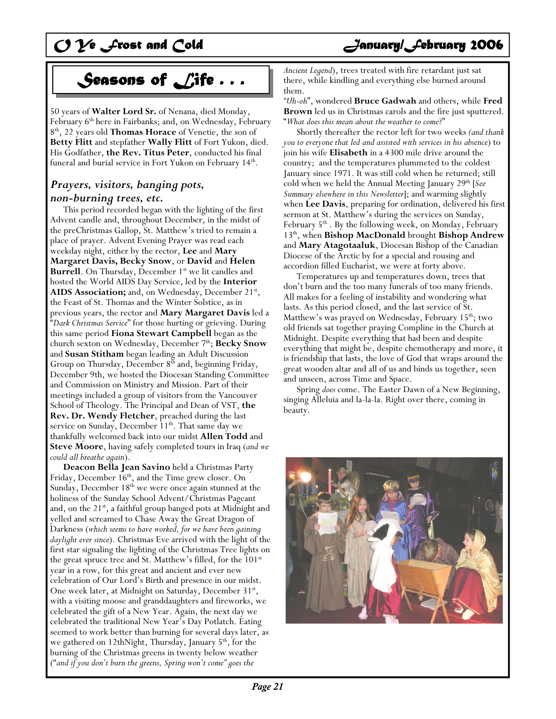## *O Ye Frost and Cold January/February 2006*

# *Seasons of Life . . .*

50 years of **Walter Lord Sr.** of Nenana, died Monday, February 6<sup>th</sup> here in Fairbanks; and, on Wednesday, February 8th, 22 years old **Thomas Horace** of Venetie, the son of **Betty Flitt** and stepfather **Wally Flitt** of Fort Yukon, died. His Godfather, **the Rev. Titus Peter**, conducted his final funeral and burial service in Fort Yukon on February 14<sup>th</sup>.

### *Prayers, visitors, banging pots, non-burning trees, etc.*

 This period recorded began with the lighting of the first Advent candle and, throughout December, in the midst of the preChristmas Gallop, St. Matthew's tried to remain a place of prayer. Advent Evening Prayer was read each weekday night, either by the rector, **Lee** and **Mary Margaret Davis, Becky Snow**, or **David** and **Helen Burrell**. On Thursday, December 1<sup>st</sup> we lit candles and hosted the World AIDS Day Service, led by the **Interior** AIDS Association; and, on Wednesday, December 21<sup>st</sup>, the Feast of St. Thomas and the Winter Solstice, as in previous years, the rector and **Mary Margaret Davis** led a "*Dark Christmas Service*" for those hurting or grieving. During this same period **Fiona Stewart Campbell** began as the church sexton on Wednesday, December 7<sup>th</sup>; Becky Snow and **Susan Stitham** began leading an Adult Discussion Group on Thursday, December  $8<sup>th</sup>$  and, beginning Friday, December 9th, we hosted the Diocesan Standing Committee and Commission on Ministry and Mission. Part of their meetings included a group of visitors from the Vancouver School of Theology. The Principal and Dean of VST, **the Rev. Dr. Wendy Fletcher**, preached during the last service on Sunday, December  $11<sup>th</sup>$ . That same day we thankfully welcomed back into our midst **Allen Todd** and **Steve Moore**, having safely completed tours in Iraq (*and we could all breathe again*).

**Deacon Bella Jean Savino** held a Christmas Party Friday, December 16<sup>th</sup>, and the Time grew closer. On Sunday, December 18<sup>th</sup> we were once again stunned at the holiness of the Sunday School Advent/Christmas Pageant and, on the  $21^{st}$ , a faithful group banged pots at Midnight and yelled and screamed to Chase Away the Great Dragon of Darkness (*which seems to have worked, for we have been gaining daylight ever since*). Christmas Eve arrived with the light of the first star signaling the lighting of the Christmas Tree lights on the great spruce tree and St. Matthew's filled, for the 101<sup>st</sup> year in a row, for this great and ancient and ever new celebration of Our Lord's Birth and presence in our midst. One week later, at Midnight on Saturday, December 31<sup>st</sup>, with a visiting moose and granddaughters and fireworks, we celebrated the gift of a New Year. Again, the next day we celebrated the traditional New Year's Day Potlatch. Eating seemed to work better than burning for several days later, as we gathered on 12thNight, Thursday, January 5<sup>th</sup>, for the burning of the Christmas greens in twenty below weather ("*and if you don't burn the greens, Spring won't come" goes the* 

*Ancient Legend*), trees treated with fire retardant just sat there, while kindling and everything else burned around them.

*"Uh-oh*", wondered **Bruce Gadwah** and others, while **Fred Brown** led us in Christmas carols and the fire just sputtered. "*What does this mean about the weather to come*?"

 Shortly thereafter the rector left for two weeks *(and thank you to everyone that led and assisted with services in his absence*) to join his wife **Elisabeth** in a 4300 mile drive around the country; and the temperatures plummeted to the coldest January since 1971. It was still cold when he returned; still cold when we held the Annual Meeting January 29th [*See Summary elsewhere in this Newsletter*]; and warming slightly when **Lee Davis**, preparing for ordination, delivered his first sermon at St. Matthew's during the services on Sunday, February  $5<sup>th</sup>$ . By the following week, on Monday, February 13th, when **Bishop MacDonald** brought **Bishop Andrew** and **Mary Atagotaaluk**, Diocesan Bishop of the Canadian Diocese of the Arctic by for a special and rousing and accordion filled Eucharist, we were at forty above.

 Temperatures up and temperatures down, trees that don't burn and the too many funerals of too many friends. All makes for a feeling of instability and wondering what lasts. As this period closed, and the last service of St. Matthew's was prayed on Wednesday, February  $15<sup>th</sup>$ ; two old friends sat together praying Compline in the Church at Midnight. Despite everything that had been and despite everything that might be, despite chemotherapy and more, it is friendship that lasts, the love of God that wraps around the great wooden altar and all of us and binds us together, seen and unseen, across Time and Space.

 Spring *does* come. The Easter Dawn of a New Beginning, singing Alleluia and la-la-la. Right over there, coming in beauty.

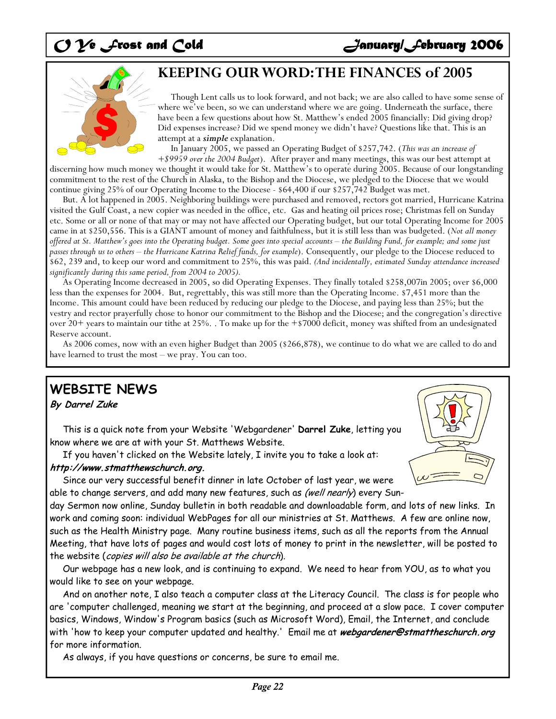# *O Ye frost and Cold*  $\bigcup$  *January/february 2006*



## **KEEPING OUR WORD: THE FINANCES of 2005**

 Though Lent calls us to look forward, and not back; we are also called to have some sense of where we've been, so we can understand where we are going. Underneath the surface, there have been a few questions about how St. Matthew's ended 2005 financially: Did giving drop? Did expenses increase? Did we spend money we didn't have? Questions like that. This is an attempt at a *simple* explanation.

 In January 2005, we passed an Operating Budget of \$257,742. (*This was an increase of +\$9959 over the 2004 Budget*). After prayer and many meetings, this was our best attempt at

discerning how much money we thought it would take for St. Matthew's to operate during 2005. Because of our longstanding commitment to the rest of the Church in Alaska, to the Bishop and the Diocese, we pledged to the Diocese that we would continue giving 25% of our Operating Income to the Diocese - \$64,400 if our \$257,742 Budget was met.

 But. A lot happened in 2005. Neighboring buildings were purchased and removed, rectors got married, Hurricane Katrina visited the Gulf Coast, a new copier was needed in the office, etc. Gas and heating oil prices rose; Christmas fell on Sunday etc. Some or all or none of that may or may not have affected our Operating budget, but our total Operating Income for 2005 came in at \$250,556. This is a GIANT amount of money and faithfulness, but it is still less than was budgeted. (*Not all money offered at St. Matthew's goes into the Operating budget. Some goes into special accounts – the Building Fund, for example; and some just passes through us to others – the Hurricane Katrina Relief funds, for example*). Consequently, our pledge to the Diocese reduced to \$62, 239 and, to keep our word and commitment to 25%, this was paid. *(And incidentally, estimated Sunday attendance increased significantly during this same period, from 2004 to 2005).* 

 As Operating Income decreased in 2005, so did Operating Expenses. They finally totaled \$258,007in 2005; over \$6,000 less than the expenses for 2004. But, regrettably, this was still more than the Operating Income. \$7,451 more than the Income. This amount could have been reduced by reducing our pledge to the Diocese, and paying less than 25%; but the vestry and rector prayerfully chose to honor our commitment to the Bishop and the Diocese; and the congregation's directive over 20+ years to maintain our tithe at 25%. . To make up for the +\$7000 deficit, money was shifted from an undesignated Reserve account.

 As 2006 comes, now with an even higher Budget than 2005 (\$266,878), we continue to do what we are called to do and have learned to trust the most – we pray. You can too.

## **WEBSITE NEWS**

**By Darrel Zuke** 

 This is a quick note from your Website 'Webgardener' **Darrel Zuke**, letting you know where we are at with your St. Matthews Website.

 If you haven't clicked on the Website lately, I invite you to take a look at: **http://www.stmatthewschurch.org.** 

 Since our very successful benefit dinner in late October of last year, we were able to change servers, and add many new features, such as *(well nearly*) every Sun-

day Sermon now online, Sunday bulletin in both readable and downloadable form, and lots of new links. In work and coming soon: individual WebPages for all our ministries at St. Matthews. A few are online now, such as the Health Ministry page. Many routine business items, such as all the reports from the Annual Meeting, that have lots of pages and would cost lots of money to print in the newsletter, will be posted to the website (copies will also be available at the church).

 Our webpage has a new look, and is continuing to expand. We need to hear from YOU, as to what you would like to see on your webpage.

 And on another note, I also teach a computer class at the Literacy Council. The class is for people who are 'computer challenged, meaning we start at the beginning, and proceed at a slow pace. I cover computer basics, Windows, Window's Program basics (such as Microsoft Word), Email, the Internet, and conclude with 'how to keep your computer updated and healthy.' Email me at **webgardener@stmattheschurch.org**  for more information.

As always, if you have questions or concerns, be sure to email me.

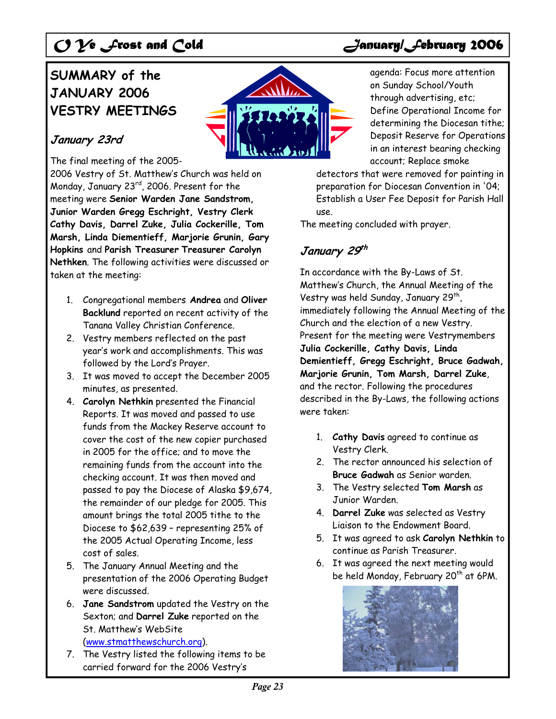## **SUMMARY of the JANUARY 2006 VESTRY MEETINGS**

## **January 23rd**

The final meeting of the 2005-

2006 Vestry of St. Matthew's Church was held on Monday, January 23<sup>rd</sup>, 2006. Present for the meeting were **Senior Warden Jane Sandstrom, Junior Warden Gregg Eschright, Vestry Clerk Cathy Davis, Darrel Zuke, Julia Cockerille, Tom Marsh, Linda Diementieff, Marjorie Grunin, Gary Hopkins** and **Parish Treasurer Treasurer Carolyn Nethken**. The following activities were discussed or taken at the meeting:

- 1. Congregational members **Andrea** and **Oliver Backlund** reported on recent activity of the Tanana Valley Christian Conference.
- 2. Vestry members reflected on the past year's work and accomplishments. This was followed by the Lord's Prayer.
- 3. It was moved to accept the December 2005 minutes, as presented.
- 4. **Carolyn Nethkin** presented the Financial Reports. It was moved and passed to use funds from the Mackey Reserve account to cover the cost of the new copier purchased in 2005 for the office; and to move the remaining funds from the account into the checking account. It was then moved and passed to pay the Diocese of Alaska \$9,674, the remainder of our pledge for 2005. This amount brings the total 2005 tithe to the Diocese to \$62,639 – representing 25% of the 2005 Actual Operating Income, less cost of sales.
- 5. The January Annual Meeting and the presentation of the 2006 Operating Budget were discussed.
- 6. **Jane Sandstrom** updated the Vestry on the Sexton; and **Darrel Zuke** reported on the St. Matthew's WebSite (www.stmatthewschurch.org).
- 7. The Vestry listed the following items to be carried forward for the 2006 Vestry's



detectors that were removed for painting in preparation for Diocesan Convention in '04; Establish a User Fee Deposit for Parish Hall use.

The meeting concluded with prayer.

## **January 29th**

In accordance with the By-Laws of St. Matthew's Church, the Annual Meeting of the Vestry was held Sunday, January 29<sup>th</sup>, immediately following the Annual Meeting of the Church and the election of a new Vestry. Present for the meeting were Vestrymembers **Julia Cockerille, Cathy Davis, Linda Demientieff, Gregg Eschright, Bruce Gadwah, Marjorie Grunin, Tom Marsh, Darrel Zuke**, and the rector. Following the procedures described in the By-Laws, the following actions were taken:

- 1. **Cathy Davis** agreed to continue as Vestry Clerk.
- 2. The rector announced his selection of **Bruce Gadwah** as Senior warden.
- 3. The Vestry selected **Tom Marsh** as Junior Warden.
- 4. **Darrel Zuke** was selected as Vestry Liaison to the Endowment Board.
- 5. It was agreed to ask **Carolyn Nethkin** to continue as Parish Treasurer.
- 6. It was agreed the next meeting would be held Monday, February 20<sup>th</sup> at 6PM.



# *O Ye frost and Cold*  $\bigcup$  *January/february 2006*